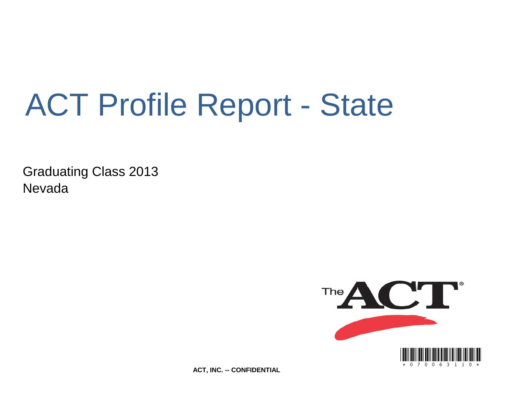# ACT Profile Report - State

Graduating Class 2013 Nevada



**ACT, INC. -- CONFIDENTIAL**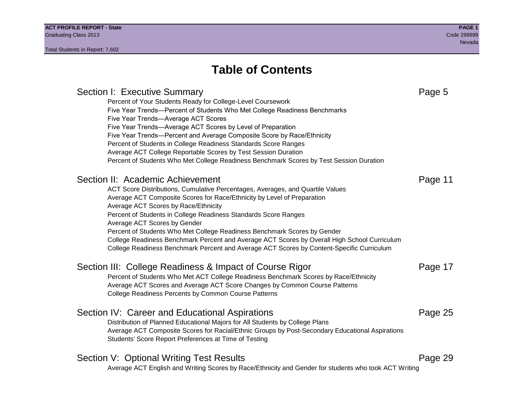# **Table of Contents**

# Section I: Executive Summary **Page 5** and the section I: Executive Summary Percent of Your Students Ready for College-Level Coursework Five Year Trends—Percent of Students Who Met College Readiness Benchmarks Five Year Trends—Average ACT Scores Five Year Trends—Average ACT Scores by Level of Preparation Five Year Trends—Percent and Average Composite Score by Race/Ethnicity Percent of Students in College Readiness Standards Score Ranges Average ACT College Reportable Scores by Test Session Duration Percent of Students Who Met College Readiness Benchmark Scores by Test Session Duration Section II: Academic Achievement **Page 11** Page 11 ACT Score Distributions, Cumulative Percentages, Averages, and Quartile Values Average ACT Composite Scores for Race/Ethnicity by Level of Preparation Average ACT Scores by Race/Ethnicity Percent of Students in College Readiness Standards Score Ranges Average ACT Scores by Gender Percent of Students Who Met College Readiness Benchmark Scores by Gender College Readiness Benchmark Percent and Average ACT Scores by Overall High School Curriculum College Readiness Benchmark Percent and Average ACT Scores by Content-Specific Curriculum Section III: College Readiness & Impact of Course Rigor Page 17 Percent of Students Who Met ACT College Readiness Benchmark Scores by Race/Ethnicity Average ACT Scores and Average ACT Score Changes by Common Course Patterns College Readiness Percents by Common Course Patterns Section IV: Career and Educational Aspirations **Page 25** Page 25 Distribution of Planned Educational Majors for All Students by College Plans Average ACT Composite Scores for Racial/Ethnic Groups by Post-Secondary Educational Aspirations Students' Score Report Preferences at Time of Testing Section V: Optional Writing Test Results **Page 29** Page 29 Average ACT English and Writing Scores by Race/Ethnicity and Gender for students who took ACT Writing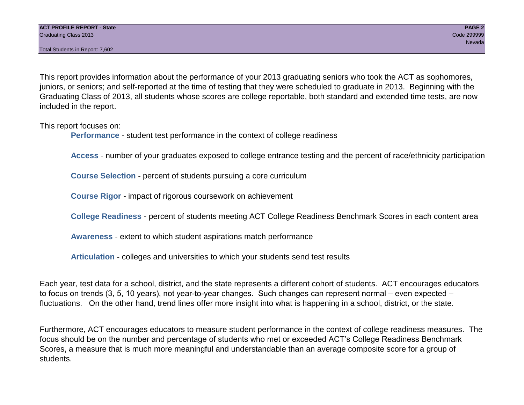This report provides information about the performance of your 2013 graduating seniors who took the ACT as sophomores, juniors, or seniors; and self-reported at the time of testing that they were scheduled to graduate in 2013. Beginning with the Graduating Class of 2013, all students whose scores are college reportable, both standard and extended time tests, are now included in the report.

This report focuses on:

**Performance** - student test performance in the context of college readiness

**Access** - number of your graduates exposed to college entrance testing and the percent of race/ethnicity participation

**Course Selection** - percent of students pursuing a core curriculum

**Course Rigor** - impact of rigorous coursework on achievement

**College Readiness** - percent of students meeting ACT College Readiness Benchmark Scores in each content area

**Awareness** - extent to which student aspirations match performance

**Articulation** - colleges and universities to which your students send test results

Each year, test data for a school, district, and the state represents a different cohort of students. ACT encourages educators to focus on trends (3, 5, 10 years), not year-to-year changes. Such changes can represent normal – even expected – fluctuations. On the other hand, trend lines offer more insight into what is happening in a school, district, or the state.

Furthermore, ACT encourages educators to measure student performance in the context of college readiness measures. The focus should be on the number and percentage of students who met or exceeded ACT's College Readiness Benchmark Scores, a measure that is much more meaningful and understandable than an average composite score for a group of students.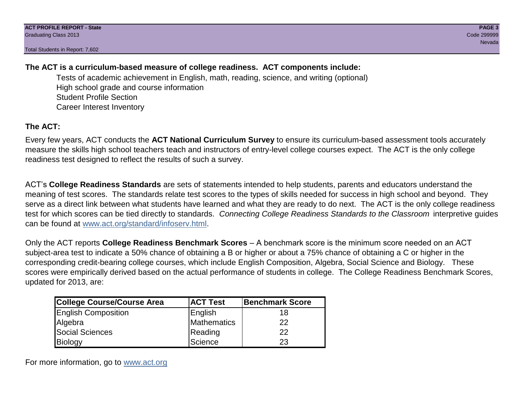# **The ACT is a curriculum-based measure of college readiness. ACT components include:**

Tests of academic achievement in English, math, reading, science, and writing (optional) High school grade and course information Student Profile Section Career Interest Inventory

# **The ACT:**

Every few years, ACT conducts the **ACT National Curriculum Survey** to ensure its curriculum-based assessment tools accurately measure the skills high school teachers teach and instructors of entry-level college courses expect. The ACT is the only college readiness test designed to reflect the results of such a survey.

ACT's **College Readiness Standards** are sets of statements intended to help students, parents and educators understand the meaning of test scores. The standards relate test scores to the types of skills needed for success in high school and beyond. They serve as a direct link between what students have learned and what they are ready to do next. The ACT is the only college readiness test for which scores can be tied directly to standards. *Connecting College Readiness Standards to the Classroom* interpretive guides can be found at www.act.org/standard/infoserv.html.

Only the ACT reports **College Readiness Benchmark Scores** – A benchmark score is the minimum score needed on an ACT subject-area test to indicate a 50% chance of obtaining a B or higher or about a 75% chance of obtaining a C or higher in the corresponding credit-bearing college courses, which include English Composition, Algebra, Social Science and Biology. These scores were empirically derived based on the actual performance of students in college. The College Readiness Benchmark Scores, updated for 2013, are:

| College Course/Course Area | <b>ACT Test</b> | <b>Benchmark Score</b> |
|----------------------------|-----------------|------------------------|
| <b>English Composition</b> | English         | 18                     |
| Algebra                    | Mathematics     | 22                     |
| <b>Social Sciences</b>     | Reading         | 22                     |
| Biology                    | Science         | 23                     |

For more information, go to www.act.org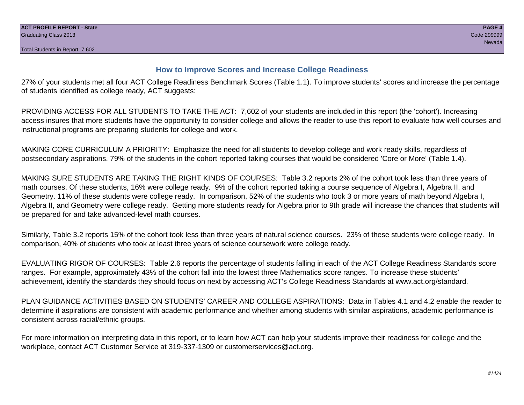# **How to Improve Scores and Increase College Readiness**

27% of your students met all four ACT College Readiness Benchmark Scores (Table 1.1). To improve students' scores and increase the percentage of students identified as college ready, ACT suggests:

PROVIDING ACCESS FOR ALL STUDENTS TO TAKE THE ACT: 7,602 of your students are included in this report (the 'cohort'). Increasing access insures that more students have the opportunity to consider college and allows the reader to use this report to evaluate how well courses and instructional programs are preparing students for college and work.

MAKING CORE CURRICULUM A PRIORITY: Emphasize the need for all students to develop college and work ready skills, regardless of postsecondary aspirations. 79% of the students in the cohort reported taking courses that would be considered 'Core or More' (Table 1.4).

MAKING SURE STUDENTS ARE TAKING THE RIGHT KINDS OF COURSES: Table 3.2 reports 2% of the cohort took less than three years of math courses. Of these students, 16% were college ready. 9% of the cohort reported taking a course sequence of Algebra I, Algebra II, and Geometry. 11% of these students were college ready. In comparison, 52% of the students who took 3 or more years of math beyond Algebra I, Algebra II, and Geometry were college ready. Getting more students ready for Algebra prior to 9th grade will increase the chances that students will be prepared for and take advanced-level math courses.

Similarly, Table 3.2 reports 15% of the cohort took less than three years of natural science courses. 23% of these students were college ready. In comparison, 40% of students who took at least three years of science coursework were college ready.

EVALUATING RIGOR OF COURSES: Table 2.6 reports the percentage of students falling in each of the ACT College Readiness Standards score ranges. For example, approximately 43% of the cohort fall into the lowest three Mathematics score ranges. To increase these students' achievement, identify the standards they should focus on next by accessing ACT's College Readiness Standards at www.act.org/standard.

PLAN GUIDANCE ACTIVITIES BASED ON STUDENTS' CAREER AND COLLEGE ASPIRATIONS: Data in Tables 4.1 and 4.2 enable the reader to determine if aspirations are consistent with academic performance and whether among students with similar aspirations, academic performance is consistent across racial/ethnic groups.

For more information on interpreting data in this report, or to learn how ACT can help your students improve their readiness for college and the workplace, contact ACT Customer Service at 319-337-1309 or customerservices@act.org.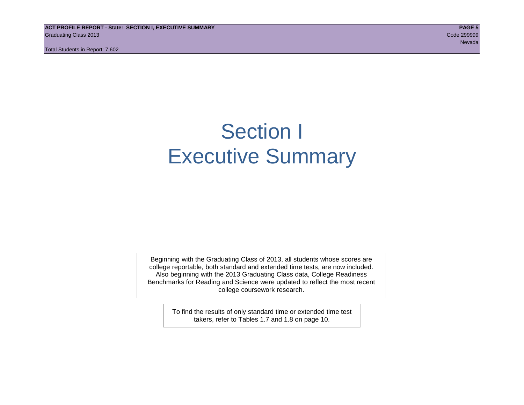**ACT PROFILE REPORT - State: SECTION I, EXECUTIVE SUMMARY PAGE 5** Graduating Class 2013 Code 299999

Total Students in Report: 7,602

# Section I Executive Summary

Beginning with the Graduating Class of 2013, all students whose scores are college reportable, both standard and extended time tests, are now included. Also beginning with the 2013 Graduating Class data, College Readiness Benchmarks for Reading and Science were updated to reflect the most recent college coursework research.

> To find the results of only standard time or extended time test takers, refer to Tables 1.7 and 1.8 on page 10.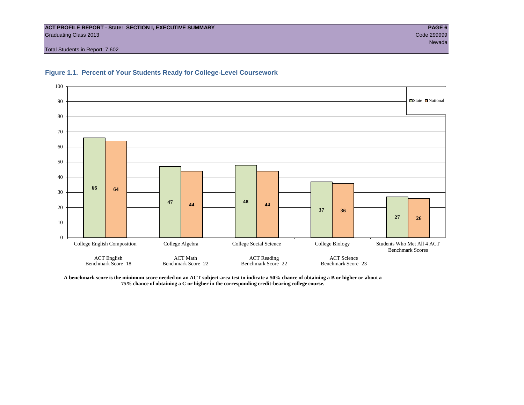#### **ACT PROFILE REPORT - State: SECTION I, EXECUTIVE SUMMARY PAGE 6** Graduating Class 2013 Code 299999

Total Students in Report: 7,602





**A benchmark score is the minimum score needed on an ACT subject-area test to indicate a 50% chance of obtaining a B or higher or about a 75% chance of obtaining a C or higher in the corresponding credit-bearing college course.**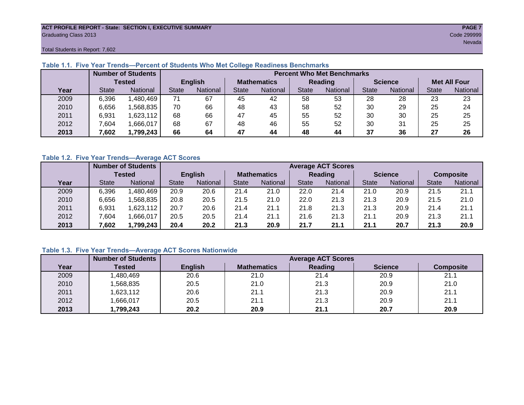#### **ACT PROFILE REPORT - State: SECTION I, EXECUTIVE SUMMARY PAGE 7** Graduating Class 2013 Code 299999

Total Students in Report: 7,602

|      |              | <b>Number of Students</b> |              |                |                    | <b>Percent Who Met Benchmarks</b> |                |          |                |          |                     |          |  |  |  |
|------|--------------|---------------------------|--------------|----------------|--------------------|-----------------------------------|----------------|----------|----------------|----------|---------------------|----------|--|--|--|
|      |              | <b>Tested</b>             |              | <b>English</b> | <b>Mathematics</b> |                                   | <b>Reading</b> |          | <b>Science</b> |          | <b>Met All Four</b> |          |  |  |  |
| Year | <b>State</b> | <b>National</b>           | <b>State</b> | National       | State              | National                          | <b>State</b>   | National |                | National | <b>State</b>        | National |  |  |  |
| 2009 | 6,396        | ,480,469                  | 71           | 67             | 45                 | 42                                | 58             | 53       | 28             | 28       | 23                  | 23       |  |  |  |
| 2010 | 6,656        | .568,835                  | 70           | 66             | 48                 | 43                                | 58             | 52       | 30             | 29       | 25                  | 24       |  |  |  |
| 2011 | 6,931        | 623,112                   | 68           | 66             | 47                 | 45                                | 55             | 52       | 30             | 30       | 25                  | 25       |  |  |  |
| 2012 | 7.604        | ,666,017                  | 68           | 67             | 48                 | 46                                | 55             | 52       | 30             | 31       | 25                  | 25       |  |  |  |
| 2013 | 7,602        | 1,799,243                 | 66           | 64             | 47                 | 44                                | 48             | 44       | 37             | 36       | 27                  | 26       |  |  |  |

# **Table 1.1. Five Year Trends—Percent of Students Who Met College Readiness Benchmarks**

### **Table 1.2. Five Year Trends—Average ACT Scores**

|      |              | <b>Number of Students</b> |              |                | <b>Average ACT Scores</b> |                 |                |                 |                |          |                  |          |  |
|------|--------------|---------------------------|--------------|----------------|---------------------------|-----------------|----------------|-----------------|----------------|----------|------------------|----------|--|
|      |              | <b>Tested</b>             |              | <b>English</b> | <b>Mathematics</b>        |                 | <b>Reading</b> |                 | <b>Science</b> |          | <b>Composite</b> |          |  |
| Year | <b>State</b> | <b>National</b>           | <b>State</b> | National       | State                     | <b>National</b> | State          | <b>National</b> | <b>State</b>   | National | <b>State</b>     | National |  |
| 2009 | 6,396        | .480,469                  | 20.9         | 20.6           | 21.4                      | 21.0            | 22.0           | 21.4            | 21.0           | 20.9     | 21.5             | 21.1     |  |
| 2010 | 6,656        | .568.835                  | 20.8         | 20.5           | 21.5                      | 21.0            | 22.0           | 21.3            | 21.3           | 20.9     | 21.5             | 21.0     |  |
| 2011 | 6,931        | .623,112                  | 20.7         | 20.6           | 21.4                      | 21.1            | 21.8           | 21.3            | 21.3           | 20.9     | 21.4             | 21.1     |  |
| 2012 | .604         | ,666,017                  | 20.5         | 20.5           | 21.4                      | 21.1            | 21.6           | 21.3            | 21.1           | 20.9     | 21.3             | 21.1     |  |
| 2013 | 7,602        | ,799,243                  | 20.4         | 20.2           | 21.3                      | 20.9            | 21.7           | 21.1            | 21.1           | 20.7     | 21.3             | 20.9     |  |

# **Table 1.3. Five Year Trends—Average ACT Scores Nationwide**

|      | <b>Number of Students</b> |                |                    | <b>Average ACT Scores</b> |                |                  |
|------|---------------------------|----------------|--------------------|---------------------------|----------------|------------------|
| Year | Tested                    | <b>English</b> | <b>Mathematics</b> | Reading                   | <b>Science</b> | <b>Composite</b> |
| 2009 | ,480,469                  | 20.6           | 21.0               | 21.4                      | 20.9           | 21.1             |
| 2010 | ,568,835                  | 20.5           | 21.0               | 21.3                      | 20.9           | 21.0             |
| 2011 | ,623,112                  | 20.6           | 21.1               | 21.3                      | 20.9           | 21.1             |
| 2012 | ,666,017                  | 20.5           | 21.1               | 21.3                      | 20.9           | 21.1             |
| 2013 | ,799,243                  | 20.2           | 20.9               | 21.1                      | 20.7           | 20.9             |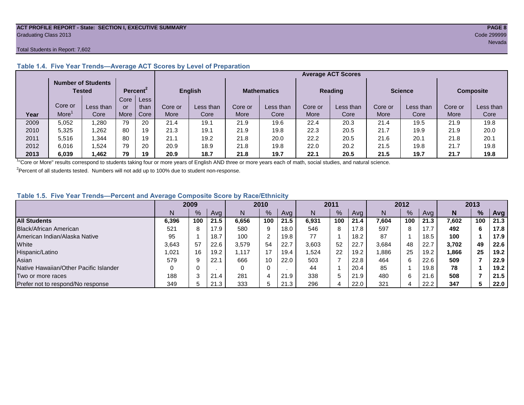#### **ACT PROFILE REPORT - State: SECTION I, EXECUTIVE SUMMARY PAGE 8** Graduating Class 2013 Code 299999

#### Total Students in Report: 7,602

|      |         | <b>Number of Students</b><br>Tested |      | Percent <sup>2</sup> |         | <b>English</b> |         | <b>Mathematics</b> |         | <b>Reading</b> | <b>Science</b> |           | <b>Composite</b> |           |
|------|---------|-------------------------------------|------|----------------------|---------|----------------|---------|--------------------|---------|----------------|----------------|-----------|------------------|-----------|
|      |         |                                     | Core | Less                 |         |                |         |                    |         |                |                |           |                  |           |
|      | Core or | Less than                           | or   | than                 | Core or | Less than      | Core or | Less than          | Core or | Less than      | Core or        | Less than | Core or          | Less than |
| Year | More    | Core                                | More | Core                 | More    | Core           | More    | Core               | More    | Core           | More           | Core      | More             | Core      |
| 2009 | 5,052   | .280                                | 79   | 20                   | 21.4    | 19.1           | 21.9    | 19.6               | 22.4    | 20.3           | 21.4           | 19.5      | 21.9             | 19.8      |
| 2010 | 5,325   | .262                                | 80   | 19                   | 21.3    | 19.1           | 21.9    | 19.8               | 22.3    | 20.5           | 21.7           | 19.9      | 21.9             | 20.0      |
| 2011 | 5,516   | ,344                                | 80   | 19                   | 21.1    | 19.2           | 21.8    | 20.0               | 22.2    | 20.5           | 21.6           | 20.1      | 21.8             | 20.1      |
| 2012 | 6,016   | .524                                | 79   | 20                   | 20.9    | 18.9           | 21.8    | 19.8               | 22.0    | 20.2           | 21.5           | 19.8      | 21.7             | 19.8      |
| 2013 | 6,039   | .462                                | 79   | 19                   | 20.9    | 18.7           | 21.8    | 19.7               | 22.1    | 20.5           | 21.5           | 19.7      | 21.7             | 19.8      |

# **Table 1.4. Five Year Trends—Average ACT Scores by Level of Preparation**

<sup>1</sup>"Core or More" results correspond to students taking four or more years of English AND three or more years each of math, social studies, and natural science.

 $2$ Percent of all students tested. Numbers will not add up to 100% due to student non-response.

# **Table 1.5. Five Year Trends—Percent and Average Composite Score by Race/Ethnicity**

|                                        | 2009  |     | 2010 |       | 2011          |      | 2012  |      |      | 2013  |     |      |       |     |            |
|----------------------------------------|-------|-----|------|-------|---------------|------|-------|------|------|-------|-----|------|-------|-----|------------|
|                                        | N     | %   | Avg  | N     | $\frac{9}{6}$ | Avg  | N     | $\%$ | Avg  | Ν     | %   | Ava  | N     | %   | <b>Avg</b> |
| <b>All Students</b>                    | 6,396 | 100 | 21.5 | 6,656 | 100           | 21.5 | 6.931 | 100  | 21.4 | 7,604 | 100 | 21.3 | 7,602 | 100 | 21.3       |
| Black/African American                 | 521   |     | 17.9 | 580   | 9             | 18.0 | 546   | 8    | 17.8 | 597   | 8   | 17.7 | 492   | 6   | 17.8       |
| American Indian/Alaska Native          | 95    |     | 18.7 | 100   | 2             | 19.8 | 77    |      | 18.2 | 87    |     | 18.5 | 100   |     | 17.9       |
| White                                  | 3.643 | 57  | 22.6 | 3,579 | 54            | 22.7 | 3,603 | 52   | 22.7 | 3,684 | 48  | 22.7 | 3,702 | 49  | 22.6       |
| Hispanic/Latino                        | .021  | 16  | 19.2 | 1.117 | 17            | 19.4 | .524  | 22   | 19.2 | 886.  | 25  | 19.2 | 1,866 | 25  | 19.2       |
| Asian                                  | 579   |     | 22.7 | 666   | 10            | 22.0 | 503   |      | 22.8 | 464   | 6   | 22.6 | 509   |     | 22.9       |
| Native Hawaiian/Other Pacific Islander |       |     |      |       | $\Omega$      |      | 44    |      | 20.4 | 85    |     | 19.8 | 78    |     | 19.2       |
| Two or more races                      | 188   |     | 21.4 | 281   | 4             | 21.9 | 338   | 5    | 21.9 | 480   | 6   | 21.6 | 508   |     | 21.5       |
| Prefer not to respond/No response      | 349   |     | 21.3 | 333   | 5             | 21.3 | 296   |      | 22.0 | 321   | 4   | 22.2 | 347   |     | 22.0       |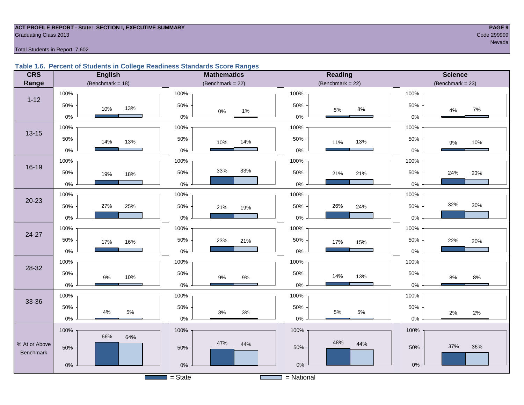#### **ACT PROFILE REPORT - State: SECTION I, EXECUTIVE SUMMARY PAGE 9** Code 299999 Craduating Class 2013

#### Total Students in Report: 7,602

#### **Table 1.6. Percent of Students in College Readiness Standards Score Ranges**

| <b>CRS</b>                 | <b>English</b>          | <b>Mathematics</b>    | <b>Reading</b>       | <b>Science</b>     |  |  |  |
|----------------------------|-------------------------|-----------------------|----------------------|--------------------|--|--|--|
| Range                      | (Benchmark = $18$ )     | (Benchmark = $22$ )   | (Benchmark = $22$ )  | $(Benchmark = 23)$ |  |  |  |
|                            | 100%                    | 100%                  | 100%                 | 100%               |  |  |  |
| $1 - 12$                   | 50%<br>13%<br>10%       | 50%<br>$0\%$<br>1%    | 50%<br>$8\%$<br>5%   | 50%<br>7%<br>4%    |  |  |  |
|                            | $0\%$                   | $0\%$                 | $0\%$                | 0%                 |  |  |  |
| $13 - 15$                  | 100%                    | 100%                  | 100%                 | 100%               |  |  |  |
|                            | 50%<br>14%<br>13%       | 50%<br>14%<br>10%     | 50%<br>13%<br>11%    | 50%<br>10%<br>9%   |  |  |  |
|                            | $0\%$                   | $0\%$                 | $0\%$                | $0\%$              |  |  |  |
|                            | 100%                    | 100%                  | 100%                 | 100%               |  |  |  |
| 16-19                      | 50%<br>19%<br>18%       | 33%<br>33%<br>50%     | 50%<br>21%<br>21%    | 50%<br>24%<br>23%  |  |  |  |
|                            | $0\%$                   | $0\%$                 | $0\%$                | 0%                 |  |  |  |
|                            | 100%                    | 100%                  | 100%                 | 100%               |  |  |  |
| $20 - 23$                  | 27%<br>50%<br>25%       | 50%<br>21%<br>19%     | 50%<br>26%<br>24%    | 32%<br>30%<br>50%  |  |  |  |
|                            | $0\%$                   | $0\%$                 | $0\%$                | 0%                 |  |  |  |
|                            | 100%                    | 100%                  | 100%                 | 100%               |  |  |  |
| 24-27                      | 50%<br>17%<br>16%       | 50%<br>23%<br>21%     | 50%<br>17%<br>15%    | 50%<br>22%<br>20%  |  |  |  |
|                            | $0\%$                   | $0\%$                 | 0%                   | 0%                 |  |  |  |
|                            | 100%                    | 100%                  | 100%                 | 100%               |  |  |  |
| 28-32                      | 50%<br>10%<br>9%        | 50%<br>$9\%$<br>$9\%$ | 50%<br>14%<br>13%    | 50%<br>8%<br>$8\%$ |  |  |  |
|                            | $0\%$                   | $0\%$                 | $0\%$                | 0%                 |  |  |  |
|                            | 100%                    | 100%                  | 100%                 | 100%               |  |  |  |
| 33-36                      | 50%                     | 50%                   | 50%                  | 50%                |  |  |  |
|                            | $5\%$<br>$4\%$<br>$0\%$ | $3%$<br>$3%$<br>$0\%$ | $5\%$<br>5%<br>$0\%$ | 2%<br>2%<br>$0\%$  |  |  |  |
|                            | 100%                    | 100%                  | 100%                 | 100%               |  |  |  |
|                            | 66%<br>64%              | 47%                   | 48%                  |                    |  |  |  |
| % At or Above<br>Benchmark | 50%                     | 44%<br>50%            | 44%<br>50%           | 37%<br>36%<br>50%  |  |  |  |
|                            | $0\%$                   | $0\%$                 | $0\%$                | $0\%$              |  |  |  |
|                            |                         |                       |                      |                    |  |  |  |
|                            |                         | $=$ State             | $=$ National         |                    |  |  |  |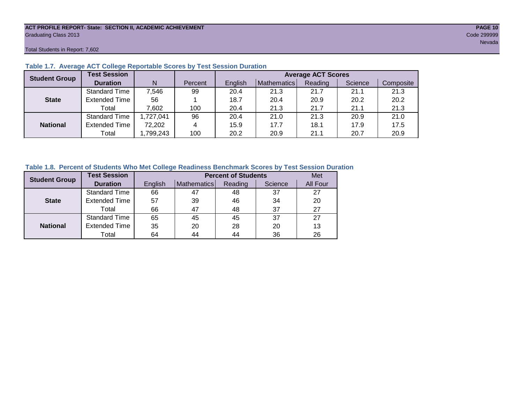#### **ACT PROFILE REPORT- State: SECTION II, ACADEMIC ACHIEVEMENT PAGE 10** Graduating Class 2013 Code 299999

Total Students in Report: 7,602

| <b>Student Group</b> | <b>Test Session</b>  |          |         |         |             | <b>Average ACT Scores</b> |         |           |
|----------------------|----------------------|----------|---------|---------|-------------|---------------------------|---------|-----------|
|                      | <b>Duration</b>      | N        | Percent | English | Mathematics | Reading                   | Science | Composite |
|                      | <b>Standard Time</b> | 7,546    | 99      | 20.4    | 21.3        | 21.7                      | 21.1    | 21.3      |
| <b>State</b>         | <b>Extended Time</b> | 56       |         | 18.7    | 20.4        | 20.9                      | 20.2    | 20.2      |
|                      | Total                | 7,602    | 100     | 20.4    | 21.3        | 21.7                      | 21.1    | 21.3      |
|                      | <b>Standard Time</b> | ,727,041 | 96      | 20.4    | 21.0        | 21.3                      | 20.9    | 21.0      |
| <b>National</b>      | <b>Extended Time</b> | 72,202   | 4       | 15.9    | 17.7        | 18.1                      | 17.9    | 17.5      |
|                      | Total                | ,799,243 | 100     | 20.2    | 20.9        | 21.1                      | 20.7    | 20.9      |

# **Table 1.7. Average ACT College Reportable Scores by Test Session Duration**

### **Table 1.8. Percent of Students Who Met College Readiness Benchmark Scores by Test Session Duration**

| <b>Student Group</b> | <b>Test Session</b>  |         |             | <b>Percent of Students</b> |         | Met      |
|----------------------|----------------------|---------|-------------|----------------------------|---------|----------|
|                      | <b>Duration</b>      | English | Mathematics | Reading                    | Science | All Four |
|                      | <b>Standard Time</b> | 66      | 47          | 48                         | 37      | 27       |
| <b>State</b>         | <b>Extended Time</b> | 57      | 39          | 46                         | 34      | 20       |
|                      | Total                | 66      | 47          | 48                         | 37      | 27       |
|                      | <b>Standard Time</b> | 65      | 45          | 45                         | 37      | 27       |
| <b>National</b>      | <b>Extended Time</b> | 35      | 20          | 28                         | 20      | 13       |
|                      | Total                | 64      | 44          | 44                         | 36      | 26       |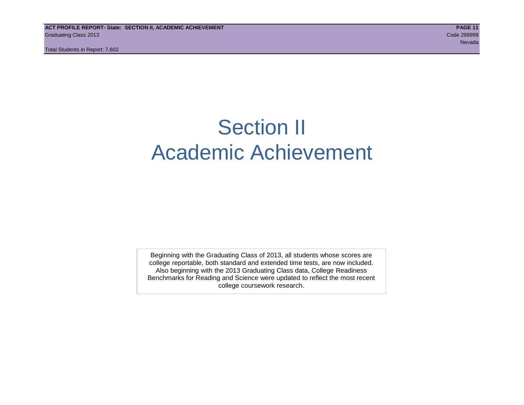# Section II Academic Achievement

Beginning with the Graduating Class of 2013, all students whose scores are college reportable, both standard and extended time tests, are now included. Also beginning with the 2013 Graduating Class data, College Readiness Benchmarks for Reading and Science were updated to reflect the most recent college coursework research.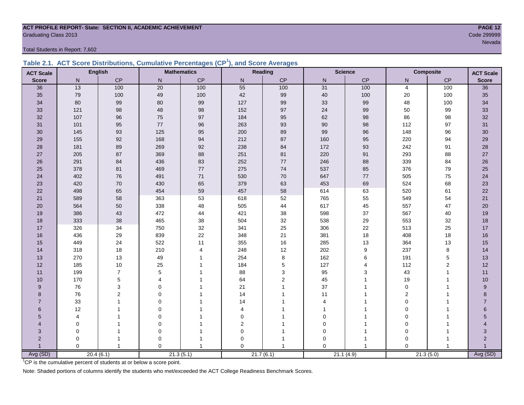#### **ACT PROFILE REPORT- State: SECTION II, ACADEMIC ACHIEVEMENT PAGE 12** Code 299999 Code 299999 Code 299999 Code 2009999 Code 200999 Code 200999 Code 200999 Code 200999 Code 200999 Code 2009 Code 2009 Code 2009 Code 2009 Code 2009 Code 2009 Code 2009 Code 2009 Code 2009 Code 2009 Code 2009 Cod

Total Students in Report: 7,602

|  | Table 2.1. ACT Score Distributions, Cumulative Percentages (CP <sup>1</sup> ), and Score Averages |  |  |  |
|--|---------------------------------------------------------------------------------------------------|--|--|--|
|  |                                                                                                   |  |  |  |

| <b>ACT Scale</b>      |          | <b>English</b> |                 | <b>Mathematics</b> |              | Reading       | <b>Science</b><br><b>Composite</b> |           | <b>ACT Scale</b> |                |                |
|-----------------------|----------|----------------|-----------------|--------------------|--------------|---------------|------------------------------------|-----------|------------------|----------------|----------------|
| <b>Score</b>          | N        | CP             | ${\sf N}$       | $\mathsf{CP}$      | $\mathsf{N}$ | $\mathsf{CP}$ | ${\sf N}$                          | CP        | N                | $\mathsf{CP}$  | <b>Score</b>   |
| 36                    | 13       | 100            | $\overline{20}$ | 100                | 55           | 100           | 31                                 | 100       | $\overline{4}$   | 100            | 36             |
| 35                    | 79       | 100            | 49              | 100                | 42           | 99            | 40                                 | 100       | 20               | 100            | 35             |
| 34                    | 80       | 99             | 80              | 99                 | 127          | 99            | 33                                 | 99        | 48               | 100            | 34             |
| 33                    | 121      | 98             | 48              | 98                 | 152          | 97            | 24                                 | 99        | 50               | 99             | 33             |
| 32                    | 107      | 96             | 75              | 97                 | 184          | 95            | 62                                 | $98\,$    | 86               | 98             | 32             |
| 31                    | 101      | 95             | $77$            | 96                 | 263          | 93            | 90                                 | 98        | 112              | 97             | 31             |
| 30                    | 145      | 93             | 125             | 95                 | 200          | 89            | 99                                 | 96        | 148              | 96             | 30             |
| 29                    | 155      | 92             | 168             | 94                 | 212          | 87            | 160                                | 95        | 220              | 94             | 29             |
| 28                    | 181      | 89             | 269             | 92                 | 238          | 84            | 172                                | 93        | 242              | 91             | 28             |
| 27                    | 205      | 87             | 369             | 88                 | 251          | 81            | 220                                | 91        | 293              | 88             | $27\,$         |
| 26                    | 291      | 84             | 436             | 83                 | 252          | 77            | 246                                | 88        | 339              | 84             | 26             |
| 25                    | 378      | 81             | 469             | 77                 | 275          | 74            | 537                                | 85        | 376              | 79             | 25             |
| 24                    | 402      | 76             | 491             | 71                 | 530          | 70            | 647                                | 77        | 505              | 75             | 24             |
| 23                    | 420      | 70             | 430             | 65                 | 379          | 63            | 453                                | 69        | 524              | 68             | 23             |
| 22                    | 498      | 65             | 454             | 59                 | 457          | 58            | 614                                | 63        | 520              | 61             | 22             |
| 21                    | 589      | 58             | 363             | 53                 | 618          | 52            | 765                                | 55        | 549              | 54             | 21             |
| 20                    | 564      | 50             | 338             | 48                 | 505          | 44            | 617                                | 45        | 557              | 47             | 20             |
| 19                    | 386      | 43             | 472             | 44                 | 421          | 38            | 598                                | 37        | 567              | 40             | 19             |
| 18                    | 333      | 38             | 465             | 38                 | 504          | 32            | 538                                | 29        | 553              | 32             | 18             |
| 17                    | 326      | 34             | 750             | 32                 | 341          | 25            | 306                                | 22        | 513              | 25             | 17             |
| 16                    | 436      | 29             | 839             | 22                 | 348          | 21            | 381                                | 18        | 408              | 18             | 16             |
| 15                    | 449      | 24             | 522             | 11                 | 355          | 16            | 285                                | 13        | 364              | 13             | 15             |
| 14                    | 318      | 18             | 210             | $\overline{4}$     | 248          | 12            | 202                                | 9         | 237              | 8              | 14             |
| 13                    | 270      | 13             | 49              |                    | 254          | 8             | 162                                | 6         | 191              | $\,$ 5 $\,$    | 13             |
| 12                    | 185      | 10             | 25              |                    | 184          | 5             | 127                                | 4         | 112              | $\overline{c}$ | 12             |
| 11                    | 199      | $\overline{7}$ | 5               |                    | 88           | 3             | 95                                 | 3         | 43               | $\mathbf{1}$   | 11             |
| 10                    | 170      | 5              | 4               |                    | 64           | 2             | 45                                 | 1         | 19               | $\mathbf{1}$   | 10             |
| 9                     | 76       | 3              | $\Omega$        |                    | 21           |               | 37                                 |           | $\mathbf 0$      |                | 9              |
| 8                     | 76       | $\overline{2}$ | $\Omega$        |                    | 14           |               | 11                                 |           | $\overline{2}$   |                | 8              |
| $\overline{7}$        | 33       |                | $\Omega$        |                    | 14           |               | 4                                  |           | $\mathbf 0$      |                | $\overline{7}$ |
| 6                     | 12       |                | $\Omega$        |                    | 4            |               |                                    |           | $\mathbf 0$      |                | $6\phantom{a}$ |
| 5                     | 4        |                | $\mathbf 0$     |                    | 0            |               | $\mathbf 0$                        |           | $\mathbf 0$      |                | 5              |
| $\boldsymbol{\Delta}$ | 0        |                | $\Omega$        |                    | 2            |               | $\Omega$                           |           | $\Omega$         |                | 4              |
| 3                     | 0        |                | $\mathbf 0$     |                    | 0            |               | $\mathbf 0$                        | -1        | $\mathbf 0$      |                | 3              |
| $\overline{2}$        | 0        |                | $\mathbf 0$     |                    | 0            |               | $\mathbf 0$                        | -1        | $\mathbf 0$      |                | $\overline{2}$ |
|                       | $\Omega$ |                | $\Omega$        |                    | $\Omega$     |               | $\Omega$                           | 1         | $\Omega$         | $\overline{1}$ |                |
| Avg (SD)              |          | 20.4(6.1)      |                 | 21.3(5.1)          |              | 21.7(6.1)     |                                    | 21.1(4.9) |                  | 21.3(5.0)      | Avg (SD)       |

<sup>1</sup>CP is the cumulative percent of students at or below a score point.

Note: Shaded portions of columns identify the students who met/exceeded the ACT College Readiness Benchmark Scores.

nevada a ser en el seu de la construcción de la construcción de la construcción de la construcción de la const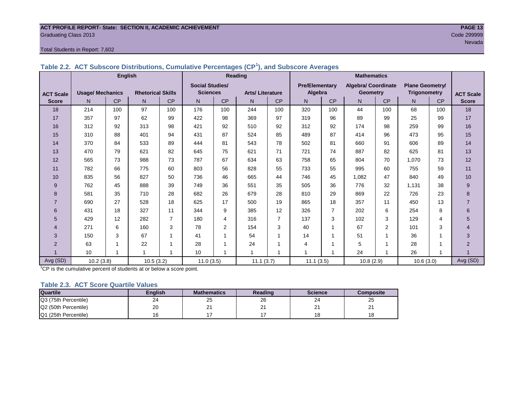#### **ACT PROFILE REPORT- State: SECTION II, ACADEMIC ACHIEVEMENT PAGE 13** Graduating Class 2013 Code 299999

#### Total Students in Report: 7,602

|                  | <b>English</b>          |                |                          |                | Reading                |                |                        |                | <b>Mathematics</b>    |                |                            |           |                        |                         |                  |
|------------------|-------------------------|----------------|--------------------------|----------------|------------------------|----------------|------------------------|----------------|-----------------------|----------------|----------------------------|-----------|------------------------|-------------------------|------------------|
|                  |                         |                |                          |                | <b>Social Studies/</b> |                |                        |                | <b>Pre/Elementarv</b> |                | <b>Algebra/ Coordinate</b> |           | <b>Plane Geometry/</b> |                         |                  |
| <b>ACT Scale</b> | <b>Usage/ Mechanics</b> |                | <b>Rhetorical Skills</b> |                | <b>Sciences</b>        |                | <b>Arts/Literature</b> |                | Algebra               |                | Geometry                   |           | Trigonometry           |                         | <b>ACT Scale</b> |
| <b>Score</b>     | N <sub>1</sub>          | <b>CP</b>      | N                        | CP             | N                      | CP             | N                      | CP             | N                     | <b>CP</b>      | N                          | <b>CP</b> | N                      | CP                      | <b>Score</b>     |
| 18               | 214                     | 100            | 97                       | 100            | 176                    | 100            | 244                    | 100            | 320                   | 100            | 44                         | 100       | 68                     | 100                     | 18               |
| 17               | 357                     | 97             | 62                       | 99             | 422                    | 98             | 369                    | 97             | 319                   | 96             | 89                         | 99        | 25                     | 99                      | 17               |
| 16               | 312                     | 92             | 313                      | 98             | 421                    | 92             | 510                    | 92             | 312                   | 92             | 174                        | 98        | 259                    | 99                      | 16               |
| 15               | 310                     | 88             | 401                      | 94             | 431                    | 87             | 524                    | 85             | 489                   | 87             | 414                        | 96        | 473                    | 95                      | 15               |
| 14               | 370                     | 84             | 533                      | 89             | 444                    | 81             | 543                    | 78             | 502                   | 81             | 660                        | 91        | 606                    | 89                      | 14               |
| 13               | 470                     | 79             | 621                      | 82             | 645                    | 75             | 621                    | 71             | 721                   | 74             | 887                        | 82        | 625                    | 81                      | 13               |
| 12               | 565                     | 73             | 988                      | 73             | 787                    | 67             | 634                    | 63             | 758                   | 65             | 804                        | 70        | 1.070                  | 73                      | 12               |
| 11               | 782                     | 66             | 775                      | 60             | 803                    | 56             | 828                    | 55             | 733                   | 55             | 995                        | 60        | 755                    | 59                      | 11               |
| 10               | 835                     | 56             | 827                      | 50             | 736                    | 46             | 665                    | 44             | 746                   | 45             | 1,082                      | 47        | 840                    | 49                      | 10               |
| 9                | 762                     | 45             | 888                      | 39             | 749                    | 36             | 551                    | 35             | 505                   | 36             | 776                        | 32        | 1.131                  | 38                      | $9\,$            |
| 8                | 581                     | 35             | 710                      | 28             | 682                    | 26             | 679                    | 28             | 810                   | 29             | 869                        | 22        | 726                    | 23                      | 8                |
| $\overline{7}$   | 690                     | 27             | 528                      | 18             | 625                    | 17             | 500                    | 19             | 865                   | 18             | 357                        | 11        | 450                    | 13                      | $\overline{7}$   |
| 6                | 431                     | 18             | 327                      | 11             | 344                    | 9              | 385                    | 12             | 326                   | $\overline{7}$ | 202                        | 6         | 254                    | 8                       | 6                |
| 5                | 429                     | 12             | 282                      | $\overline{7}$ | 180                    | 4              | 316                    | $\overline{7}$ | 137                   | 3              | 102                        | 3         | 129                    | 4                       | 5                |
| 4                | 271                     | 6              | 160                      | 3              | 78                     | $\overline{2}$ | 154                    | 3              | 40                    | 4              | 67                         | 2         | 101                    | 3                       | 4                |
| 3                | 150                     | 3              | 67                       | 1              | 41                     |                | 54                     | 1              | 14                    |                | 51                         | 1         | 36                     | 1                       | $\mathbf{3}$     |
| $\overline{2}$   | 63                      | $\overline{ }$ | 22                       | 1              | 28                     |                | 24                     | 1              | 4                     |                | 5                          | 1         | 28                     | 1                       | $\overline{2}$   |
|                  | 10                      | 1              | $\overline{\mathbf{A}}$  | 1              | 10                     |                |                        |                |                       |                | 24                         | 1         | 26                     | $\overline{\mathbf{A}}$ |                  |
| Avg (SD)         | 10.2(3.8)               |                | 10.5(3.2)                |                | 11.0(3.5)              |                | 11.1(3.7)              |                | 11.1(3.5)             |                | 10.8(2.9)                  |           | 10.6(3.0)              |                         | Avg (SD)         |

**Table 2.2. ACT Subscore Distributions, Cumulative Percentages (CP<sup>1</sup> ), and Subscore Averages**

 $1^{\circ}$ CP is the cumulative percent of students at or below a score point.

#### **Table 2.3. ACT Score Quartile Values**

| <b>Quartile</b>      | Enalish | <b>Mathematics</b> | Reading       | <b>Science</b> | Composite |
|----------------------|---------|--------------------|---------------|----------------|-----------|
| Q3 (75th Percentile) | 24      | 25                 | 26            | 24             | 25        |
| Q2 (50th Percentile) | 20      | <u>_</u>           | ⌒<br><u>_</u> | <u>_</u>       | -         |
| Q1 (25th Percentile) |         |                    |               | 18             | 18        |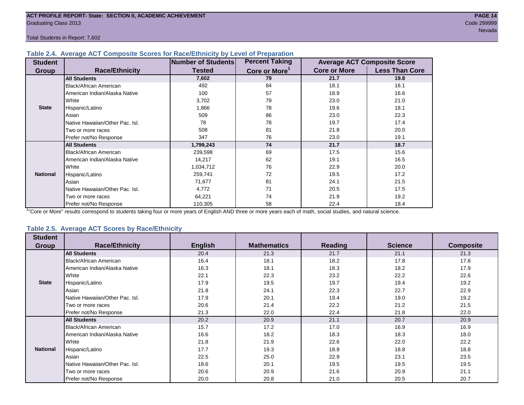#### **Table 2.4. Average ACT Composite Scores for Race/Ethnicity by Level of Preparation**

| <b>Student</b>  |                                 | <b>Number of Students</b> | <b>Percent Taking</b>     |                     | <b>Average ACT Composite Score</b> |
|-----------------|---------------------------------|---------------------------|---------------------------|---------------------|------------------------------------|
| <b>Group</b>    | <b>Race/Ethnicity</b>           | <b>Tested</b>             | Core or More <sup>1</sup> | <b>Core or More</b> | <b>Less Than Core</b>              |
|                 | <b>All Students</b>             | 7,602                     | 79                        | 21.7                | 19.8                               |
|                 | <b>Black/African American</b>   | 492                       | 84                        | 18.1                | 16.1                               |
|                 | American Indian/Alaska Native   | 100                       | 57                        | 18.9                | 16.6                               |
|                 | White                           | 3,702                     | 79                        | 23.0                | 21.0                               |
| <b>State</b>    | Hispanic/Latino                 | 1,866                     | 78                        | 19.6                | 18.1                               |
|                 | Asian                           | 509                       | 86                        | 23.0                | 22.3                               |
|                 | Native Hawaiian/Other Pac. Isl. | 78                        | 78                        | 19.7                | 17.4                               |
|                 | Two or more races               | 508                       | 81                        | 21.8                | 20.0                               |
|                 | Prefer not/No Response          | 347                       | 76                        | 23.0                | 19.1                               |
|                 | <b>All Students</b>             | 1,799,243                 | 74                        | 21.7                | 18.7                               |
|                 | Black/African American          | 239,598                   | 69                        | 17.5                | 15.6                               |
|                 | American Indian/Alaska Native   | 14,217                    | 62                        | 19.1                | 16.5                               |
|                 | <b>I</b> White                  | 1,034,712                 | 76                        | 22.9                | 20.0                               |
| <b>National</b> | Hispanic/Latino                 | 259,741                   | 72                        | 19.5                | 17.2                               |
|                 | Asian                           | 71,677                    | 81                        | 24.1                | 21.5                               |
|                 | Native Hawaiian/Other Pac. Isl. | 4,772                     | 71                        | 20.5                | 17.5                               |
|                 | Two or more races               | 64,221                    | 74                        | 21.9                | 19.2                               |
|                 | Prefer not/No Response          | 110,305                   | 58                        | 22.4                | 18.4                               |

<sup>1</sup>"Core or More" results correspond to students taking four or more years of English AND three or more years each of math, social studies, and natural science.

#### **Table 2.5. Average ACT Scores by Race/Ethnicity**

| <b>Student</b>  |                                 |                |                    |                |                |                  |
|-----------------|---------------------------------|----------------|--------------------|----------------|----------------|------------------|
| Group           | <b>Race/Ethnicity</b>           | <b>English</b> | <b>Mathematics</b> | <b>Reading</b> | <b>Science</b> | <b>Composite</b> |
|                 | <b>All Students</b>             | 20.4           | 21.3               | 21.7           | 21.1           | 21.3             |
|                 | Black/African American          | 16.4           | 18.1               | 18.2           | 17.8           | 17.8             |
|                 | American Indian/Alaska Native   | 16.3           | 18.1               | 18.3           | 18.2           | 17.9             |
|                 | White                           | 22.1           | 22.3               | 23.2           | 22.2           | 22.6             |
| <b>State</b>    | Hispanic/Latino                 | 17.9           | 19.5               | 19.7           | 19.4           | 19.2             |
|                 | Asian                           | 21.8           | 24.1               | 22.3           | 22.7           | 22.9             |
|                 | Native Hawaiian/Other Pac. Isl. | 17.9           | 20.1               | 19.4           | 19.0           | 19.2             |
|                 | Two or more races               | 20.6           | 21.4               | 22.2           | 21.2           | 21.5             |
|                 | Prefer not/No Response          | 21.3           | 22.0               | 22.4           | 21.8           | 22.0             |
|                 | <b>All Students</b>             | 20.2           | 20.9               | 21.1           | 20.7           | 20.9             |
|                 | <b>Black/African American</b>   | 15.7           | 17.2               | 17.0           | 16.9           | 16.9             |
|                 | American Indian/Alaska Native   | 16.6           | 18.2               | 18.3           | 18.3           | 18.0             |
|                 | White                           | 21.8           | 21.9               | 22.6           | 22.0           | 22.2             |
| <b>National</b> | Hispanic/Latino                 | 17.7           | 19.3               | 18.9           | 18.8           | 18.8             |
|                 | Asian                           | 22.5           | 25.0               | 22.9           | 23.1           | 23.5             |
|                 | Native Hawaiian/Other Pac. Isl. | 18.6           | 20.1               | 19.5           | 19.5           | 19.5             |
|                 | Two or more races               | 20.6           | 20.9               | 21.6           | 20.9           | 21.1             |
|                 | Prefer not/No Response          | 20.0           | 20.8               | 21.0           | 20.5           | 20.7             |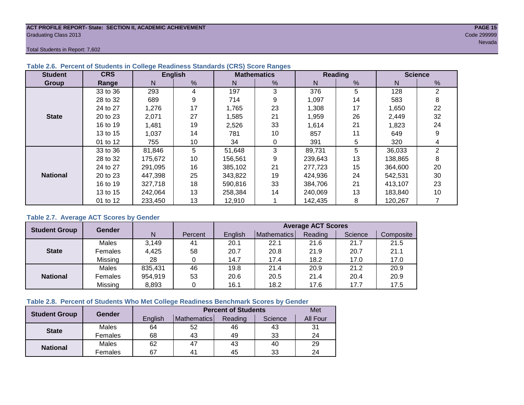#### **ACT PROFILE REPORT- State: SECTION II, ACADEMIC ACHIEVEMENT PAGE 15** Graduating Class 2013 Code 299999

Total Students in Report: 7,602

| <b>Student</b>  | <b>CRS</b> |         | <b>English</b> |                            | <b>Mathematics</b> |         | Reading       | <b>Science</b> |                |  |
|-----------------|------------|---------|----------------|----------------------------|--------------------|---------|---------------|----------------|----------------|--|
| Group           | Range      | N       | %              | %<br>N<br>N                |                    |         | $\frac{9}{6}$ | N              | %              |  |
|                 | 33 to 36   | 293     | 4              | 197                        | 3                  | 376     | 5             | 128            | $\overline{2}$ |  |
|                 | 28 to 32   | 689     | 9              | 714                        | 9                  |         | 14            | 583            | 8              |  |
|                 | 24 to 27   | 1,276   | 17             | 23<br>1,765                |                    | 1,308   | 17            | 1,650          | 22             |  |
| <b>State</b>    | 20 to 23   | 2,071   | 27             | 26<br>21<br>1,585<br>1,959 |                    | 2,449   | 32            |                |                |  |
|                 | 16 to 19   | 1,481   | 19             | 33<br>21<br>1,614<br>2,526 |                    | 1,823   | 24            |                |                |  |
|                 | 13 to 15   | 1,037   | 14             | 781                        | 10<br>857<br>11    |         |               | 649            | 9              |  |
|                 | 01 to 12   | 755     | 10             | 34                         | 0                  | 391     | 5             | 320            | 4              |  |
|                 | 33 to 36   | 81,846  | 5              | 51,648                     | 3                  | 89,731  | 5             | 36,033         | 2              |  |
|                 | 28 to 32   | 175,672 | 10             | 156,561                    | 9                  | 239,643 | 13            | 138,865        | 8              |  |
|                 | 24 to 27   | 291,095 | 16             | 385,102                    | 21                 | 277,723 | 15            | 364,600        | 20             |  |
| <b>National</b> | 20 to 23   | 447.398 | 25             | 343,822                    | 19                 | 424,936 | 24            | 542,531        | 30             |  |
|                 | 16 to 19   | 327,718 | 18             | 590,816                    | 33                 | 384,706 | 21            | 413,107        | 23             |  |
|                 | 13 to 15   | 242.064 | 13             | 258,384                    | 14                 | 240.069 | 13            | 183.840        | 10             |  |
|                 | 01 to 12   | 233,450 | 13             | 12,910                     |                    | 142,435 | 8             | 120,267        |                |  |

### **Table 2.6. Percent of Students in College Readiness Standards (CRS) Score Ranges**

### **Table 2.7. Average ACT Scores by Gender**

| <b>Student Group</b> | <b>Gender</b> |         |         | <b>Average ACT Scores</b> |             |         |         |           |  |  |  |  |
|----------------------|---------------|---------|---------|---------------------------|-------------|---------|---------|-----------|--|--|--|--|
|                      |               | N       | Percent | Enalish                   | Mathematics | Reading | Science | Composite |  |  |  |  |
|                      | Males         | 3,149   | 41      | 20.1                      | 22.1        | 21.6    | 21.7    | 21.5      |  |  |  |  |
| <b>State</b>         | Females       | 4,425   | 58      | 20.7                      | 20.8        | 21.9    | 20.7    | 21.1      |  |  |  |  |
|                      | Missing       | 28      |         | 14.7                      | 17.4        | 18.2    | 17.0    | 17.0      |  |  |  |  |
|                      | Males         | 835,431 | 46      | 19.8                      | 21.4        | 20.9    | 21.2    | 20.9      |  |  |  |  |
| <b>National</b>      | Females       | 954,919 | 53      | 20.6                      | 20.5        | 21.4    | 20.4    | 20.9      |  |  |  |  |
|                      | Missing       | 8,893   | 0       | 16.1                      | 18.2        | 17.6    | 17.7    | 17.5      |  |  |  |  |

#### **Table 2.8. Percent of Students Who Met College Readiness Benchmark Scores by Gender**

| <b>Student Group</b> | <b>Gender</b> |         | <b>Percent of Students</b> |         |         |          |  |  |  |  |  |
|----------------------|---------------|---------|----------------------------|---------|---------|----------|--|--|--|--|--|
|                      |               | English | <b>Mathematics</b>         | Reading | Science | All Four |  |  |  |  |  |
| <b>State</b>         | Males         | 64      | 52                         | 46      | 43      | 31       |  |  |  |  |  |
|                      | Females       | 68      | 43                         | 49      | 33      | 24       |  |  |  |  |  |
| <b>National</b>      | Males         | 62      | 47                         | 43      | 40      | 29       |  |  |  |  |  |
|                      | Females       | 67      | 4 <sup>1</sup>             | 45      | 33      | 24       |  |  |  |  |  |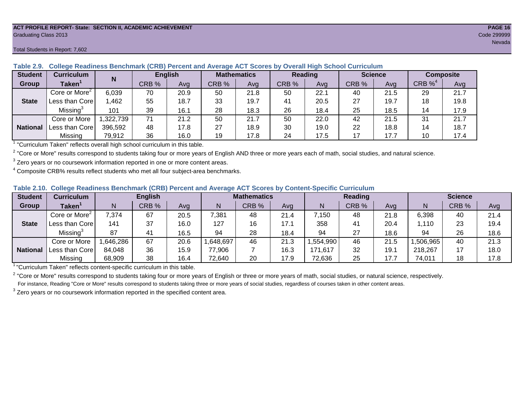#### **ACT PROFILE REPORT- State: SECTION II, ACADEMIC ACHIEVEMENT PAGE 16** Graduating Class 2013 Code 299999

**State**

**National**

Core or More<sup>2</sup>

Missing<sup>3</sup>

|                                                                                                               | Total Students in Report: 7,602 |  |       |                |       |                    |         |     |                |     |            |                  | <b>Nevada</b> |
|---------------------------------------------------------------------------------------------------------------|---------------------------------|--|-------|----------------|-------|--------------------|---------|-----|----------------|-----|------------|------------------|---------------|
| Table 2.9. College Readiness Benchmark (CRB) Percent and Average ACT Scores by Overall High School Curriculum |                                 |  |       |                |       |                    |         |     |                |     |            |                  |               |
| <b>Student</b>                                                                                                | <b>Curriculum</b>               |  |       | <b>English</b> |       | <b>Mathematics</b> | Reading |     | <b>Science</b> |     |            | <b>Composite</b> |               |
| <b>Group</b>                                                                                                  | Taken <sup>1</sup>              |  | CRB % | Ava            | CRB % | Avg                | CRB %   | Avg | CRB %          | Avg | CRB $\%^4$ | Avg              |               |

|  |  |  | Table 2.9. College Readiness Benchmark (CRB) Percent and Average ACT Scores by Overall High School Curriculum |
|--|--|--|---------------------------------------------------------------------------------------------------------------|
|  |  |  |                                                                                                               |

| <sup>1</sup> "Curriculum Taken" reflects overall high school curriculum in this table. |
|----------------------------------------------------------------------------------------|
|----------------------------------------------------------------------------------------|

 $^2$  "Core or More" results correspond to students taking four or more years of English AND three or more years each of math, social studies, and natural science.

 $3$  Zero years or no coursework information reported in one or more content areas.

 $4$  Composite CRB% results reflect students who met all four subject-area benchmarks.

|  |  |  |  |  | Table 2.10. College Readiness Benchmark (CRB) Percent and Average ACT Scores by Content-Specific Curriculum |
|--|--|--|--|--|-------------------------------------------------------------------------------------------------------------|
|--|--|--|--|--|-------------------------------------------------------------------------------------------------------------|

| <b>Student</b>  | Curriculum                | <b>English</b> |       |      | <b>Mathematics</b> |       |      |          | <b>Reading</b> |      | <b>Science</b> |       |      |
|-----------------|---------------------------|----------------|-------|------|--------------------|-------|------|----------|----------------|------|----------------|-------|------|
| Group           | <b>Taken</b>              |                | CRB % | Avg  | N                  | CRB % | Avg  | N        | CRB %          | Avg  | N              | CRB % | Avg  |
|                 | Core or More <sup>2</sup> | 7,374          | 67    | 20.5 | 7,381              | 48    | 21.4 | 7,150    | 48             | 21.8 | 6,398          | 40    | 21.4 |
| <b>State</b>    | Less than Core            | 141            | 37    | 16.0 | 127                | 16    | 17.1 | 358      | 41             | 20.4 | 1,110          | 23    | 19.4 |
|                 | Missing <sup>3</sup>      | 87             | 41    | 16.5 | 94                 | 28    | 18.4 | 94       | 27             | 18.6 | 94             | 26    | 18.6 |
|                 | Core or More              | .646,286       | 67    | 20.6 | .648,697           | 46    | 21.3 | .554,990 | 46             | 21.5 | ,506,965       | 40    | 21.3 |
| <b>National</b> | 'Less than Core           | 84,048         | 36    | 15.9 | 77,906             |       | 16.3 | 171,617  | 32             | 19.7 | 218,267        |       | 18.0 |
|                 | Missing                   | 68,909         | 38    | 16.4 | 72,640             | 20    | 17.9 | 72,636   | 25             | 17.7 | 74,011         | 18    | 17.8 |

Less than Core | 1,462 | 55 | 18.7 | 33 | 19.7 | 41 | 20.5 | 27 | 19.7 | 18 | 19.8

Core or More | 1,322,739 | 71 | 21.2 | 50 | 250 | 22.0 | 42 | 21.5 | 31 | 21.7 Less than Core 396,592 48 17.8 27 18.9 30 19.0 22 18.8 14 18.7 Missing | 79,912 | 36 | 16.0 | 19 | 17.8 | 24 | 17.5 | 17 | 17.7 | 10 | 17.4

6,039 | 70 | 20.9 | 50 | 21.8 | 50 | 22.1 | 40 | 21.5 | 29 | 21.7

101 | 39 | 16.1 | 28 | 18.3 | 26 | 18.4 | 25 | 18.5 | 14 | 17.9

<sup>1</sup>"Curriculum Taken" reflects content-specific curriculum in this table.

<sup>2</sup> "Core or More" results correspond to students taking four or more years of English or three or more years of math, social studies, or natural science, respectively. For instance, Reading "Core or More" results correspond to students taking three or more years of social studies, regardless of courses taken in other content areas.

 $3$  Zero years or no coursework information reported in the specified content area.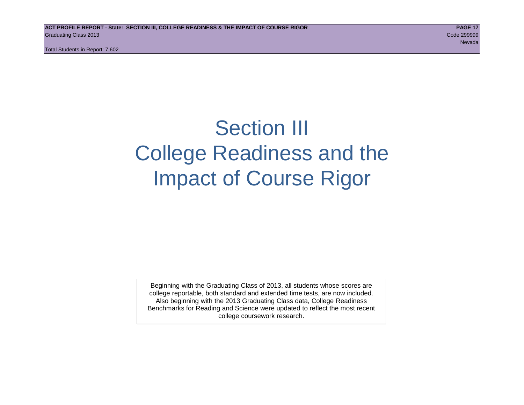# Section III College Readiness and the Impact of Course Rigor

Beginning with the Graduating Class of 2013, all students whose scores are college reportable, both standard and extended time tests, are now included. Also beginning with the 2013 Graduating Class data, College Readiness Benchmarks for Reading and Science were updated to reflect the most recent college coursework research.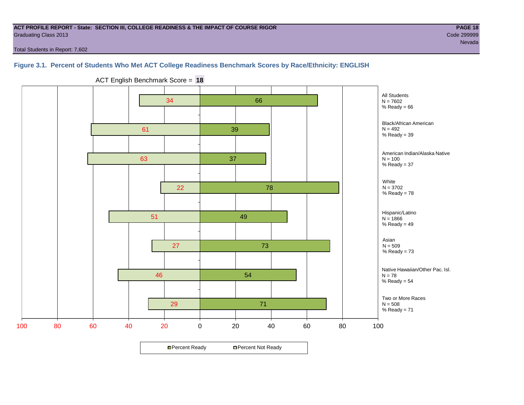#### **ACT PROFILE REPORT - State: SECTION III, COLLEGE READINESS & THE IMPACT OF COURSE RIGOR PAGE 18** Graduating Class 2013 Code 299999

Total Students in Report: 7,602

# **Figure 3.1. Percent of Students Who Met ACT College Readiness Benchmark Scores by Race/Ethnicity: ENGLISH**



ACT English Benchmark Score = **18**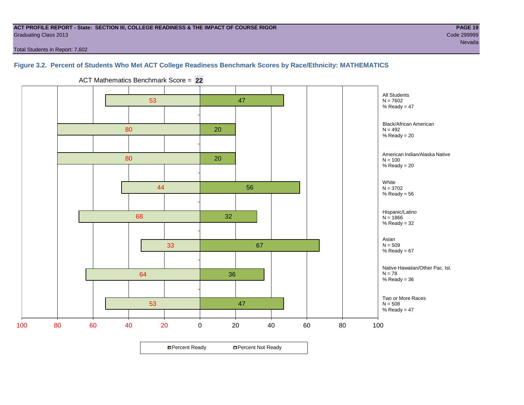#### **ACT PROFILE REPORT - State: SECTION III, COLLEGE READINESS & THE IMPACT OF COURSE RIGOR PAGE 19** Graduating Class 2013 Code 299999

Total Students in Report: 7,602

# **Figure 3.2. Percent of Students Who Met ACT College Readiness Benchmark Scores by Race/Ethnicity: MATHEMATICS**



ACT Mathematics Benchmark Score = **22**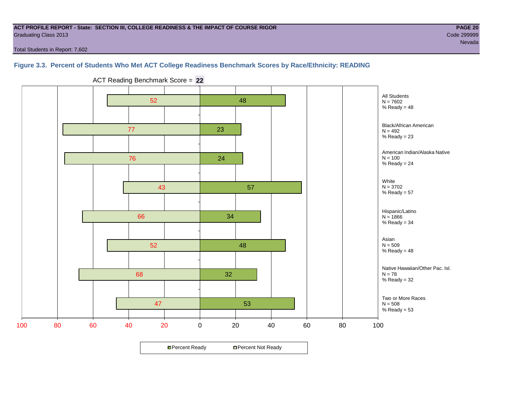#### **ACT PROFILE REPORT - State: SECTION III, COLLEGE READINESS & THE IMPACT OF COURSE RIGOR PAGE 20** Graduating Class 2013 Code 299999

Total Students in Report: 7,602

### **Figure 3.3. Percent of Students Who Met ACT College Readiness Benchmark Scores by Race/Ethnicity: READING**



ACT Reading Benchmark Score = **22**

**□ Percent Ready DPercent Not Ready**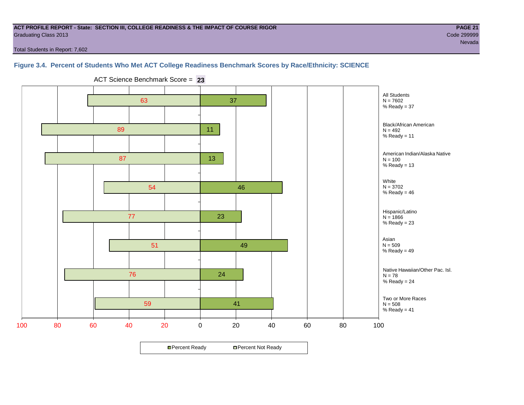#### **ACT PROFILE REPORT - State: SECTION III, COLLEGE READINESS & THE IMPACT OF COURSE RIGOR PAGE 21** Graduating Class 2013 Code 299999

nevada e a ser estado e a construír a construír a construír a construír a construír a construír a Nevada e a c

Total Students in Report: 7,602

### **Figure 3.4. Percent of Students Who Met ACT College Readiness Benchmark Scores by Race/Ethnicity: SCIENCE**



ACT Science Benchmark Score = **23**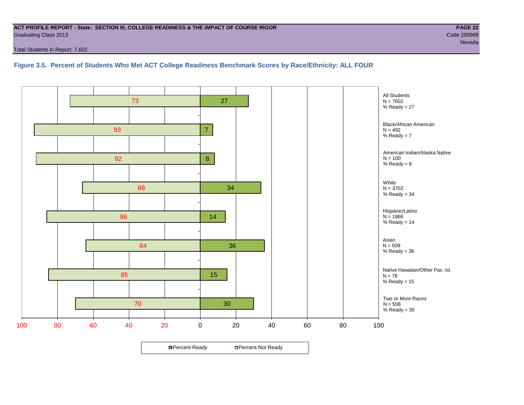#### **ACT PROFILE REPORT - State: SECTION III, COLLEGE READINESS & THE IMPACT OF COURSE RIGOR PAGE 22** Graduating Class 2013 Code 299999

Total Students in Report: 7,602

# **Figure 3.5. Percent of Students Who Met ACT College Readiness Benchmark Scores by Race/Ethnicity: ALL FOUR**

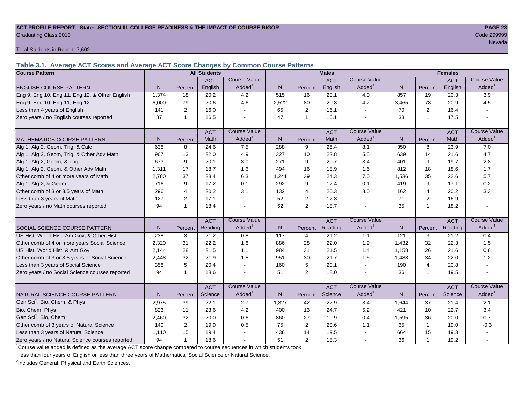#### **ACT PROFILE REPORT - State: SECTION III, COLLEGE READINESS & THE IMPACT OF COURSE RIGOR PAGE 23** Graduating Class 2013 Code 299999

Total Students in Report: 7,602

**Table 3.1. Average ACT Scores and Average ACT Score Changes by Common Course Patterns**

| <b>Course Pattern</b>                            |                |                | <b>All Students</b> |                     |              |                | <b>Males</b> |                       |              |                | <b>Females</b> |                        |
|--------------------------------------------------|----------------|----------------|---------------------|---------------------|--------------|----------------|--------------|-----------------------|--------------|----------------|----------------|------------------------|
|                                                  |                |                | <b>ACT</b>          | <b>Course Value</b> |              |                | <b>ACT</b>   | <b>Course Value</b>   |              |                | <b>ACT</b>     | <b>Course Value</b>    |
| <b>ENGLISH COURSE PATTERN</b>                    | N.             | Percent        | English             | Added <sup>1</sup>  | $\mathsf{N}$ | Percent        | English      | Added <sup>1</sup>    | $\mathsf{N}$ | Percent        | English        | A d d e d <sup>1</sup> |
| Eng 9, Eng 10, Eng 11, Eng 12, & Other English   | 1,374          | 18             | 20.2                | 4.2                 | 515          | 16             | 20.1         | 4.0                   | 857          | 19             | 20.3           | 3.9                    |
| Eng 9, Eng 10, Eng 11, Eng 12                    | 6,000          | 79             | 20.6                | 4.6                 | 2,522        | 80             | 20.3         | 4.2                   | 3,465        | 78             | 20.9           | 4.5                    |
| Less than 4 years of English                     | 141            | $\overline{2}$ | 16.0                |                     | 65           | 2              | 16.1         | $\sim$                | 70           | 2              | 16.4           |                        |
| Zero years / no English courses reported         | 87             | $\mathbf 1$    | 16.5                |                     | 47           | $\overline{1}$ | 16.1         |                       | 33           | $\mathbf{1}$   | 17.5           |                        |
|                                                  |                |                | <b>ACT</b>          | <b>Course Value</b> |              |                | <b>ACT</b>   | <b>Course Value</b>   |              |                | <b>ACT</b>     | <b>Course Value</b>    |
| <b>MATHEMATICS COURSE PATTERN</b>                | N <sub>1</sub> | Percent        | Math                | Added <sup>1</sup>  | N            | Percent        | Math         | $A$ dded <sup>1</sup> | N            | Percent        | Math           | A d d e d <sup>1</sup> |
| Alg 1, Alg 2, Geom, Trig, & Calc                 | 638            | 8              | 24.6                | 7.5                 | 288          | 9              | 25.4         | 8.1                   | 350          | 8              | 23.9           | 7.0                    |
| Alg 1, Alg 2, Geom, Trig, & Other Adv Math       | 967            | 13             | 22.0                | 4.9                 | 327          | 10             | 22.8         | 5.5                   | 639          | 14             | 21.6           | 4.7                    |
| Alg 1, Alg 2, Geom, & Trig                       | 673            | 9              | 20.1                | 3.0                 | 271          | 9              | 20.7         | 3.4                   | 401          | 9              | 19.7           | 2.8                    |
| Alg 1, Alg 2, Geom, & Other Adv Math             | 1,311          | 17             | 18.7                | 1.6                 | 494          | 16             | 18.9         | 1.6                   | 812          | 18             | 18.6           | 1.7                    |
| Other comb of 4 or more years of Math            | 2,780          | 37             | 23.4                | 6.3                 | 1,241        | 39             | 24.3         | 7.0                   | 1,536        | 35             | 22.6           | 5.7                    |
| Alg 1, Alg 2, & Geom                             | 716            | 9              | 17.2                | 0.1                 | 292          | 9              | 17.4         | 0.1                   | 419          | 9              | 17.1           | 0.2                    |
| Other comb of 3 or 3.5 years of Math             | 296            | 4              | 20.2                | 3.1                 | 132          | $\overline{4}$ | 20.3         | 3.0                   | 162          | $\overline{4}$ | 20.2           | 3.3                    |
| Less than 3 years of Math                        | 127            | 2              | 17.1                |                     | 52           | $\overline{2}$ | 17.3         | $\sim$                | 71           | $\overline{2}$ | 16.9           |                        |
| Zero years / no Math courses reported            | 94             | -1             | 18.4                |                     | 52           | $\overline{2}$ | 18.7         | $\blacksquare$        | 35           | 1              | 18.2           |                        |
|                                                  |                |                | <b>ACT</b>          | <b>Course Value</b> |              |                | <b>ACT</b>   | <b>Course Value</b>   |              |                | <b>ACT</b>     | <b>Course Value</b>    |
| <b>SOCIAL SCIENCE COURSE PATTERN</b>             | N              | Percent        | Reading             | Added <sup>1</sup>  | N            | Percent        | Reading      | Added <sup>1</sup>    | N            | Percent        | Reading        | A d d e d <sup>1</sup> |
| US Hist, World Hist, Am Gov, & Other Hist        | 238            | 3              | 21.2                | 0.8                 | 117          | 4              | 21.2         | 1.1                   | 121          | 3              | 21.2           | 0.4                    |
| Other comb of 4 or more years Social Science     | 2,320          | 31             | 22.2                | 1.8                 | 886          | 28             | 22.0         | 1.9                   | 1,432        | 32             | 22.3           | 1.5                    |
| US Hist, World Hist, & Am Gov                    | 2,144          | 28             | 21.5                | 1.1                 | 984          | 31             | 21.5         | 1.4                   | 1,158        | 26             | 21.6           | 0.8                    |
| Other comb of 3 or 3.5 years of Social Science   | 2,448          | 32             | 21.9                | 1.5                 | 951          | 30             | 21.7         | 1.6                   | 1,488        | 34             | 22.0           | 1.2                    |
| Less than 3 years of Social Science              | 358            | 5              | 20.4                |                     | 160          | 5              | 20.1         | $\sim$                | 190          | $\overline{4}$ | 20.8           |                        |
| Zero years / no Social Science courses reported  | 94             | -1             | 18.6                |                     | 51           | $\overline{2}$ | 18.0         | $\blacksquare$        | 36           | 1              | 19.5           |                        |
|                                                  |                |                | <b>ACT</b>          | <b>Course Value</b> |              |                | <b>ACT</b>   | <b>Course Value</b>   |              |                | <b>ACT</b>     | <b>Course Value</b>    |
| NATURAL SCIENCE COURSE PATTERN                   | N <sub>1</sub> | Percent        | Science             | Added               | $\mathsf{N}$ | Percent        | Science      | Added <sup>1</sup>    | N            | Percent        | Science        | A d d e d <sup>1</sup> |
| Gen Sci <sup>2</sup> , Bio, Chem, & Phys         | 2,975          | 39             | 22.1                | 2.7                 | 1,327        | 42             | 22.9         | 3.4                   | 1,644        | 37             | 21.4           | 2.1                    |
| Bio, Chem, Phys                                  | 823            | 11             | 23.6                | 4.2                 | 400          | 13             | 24.7         | 5.2                   | 421          | 10             | 22.7           | 3.4                    |
| Gen Sci <sup>2</sup> , Bio, Chem                 | 2,460          | 32             | 20.0                | 0.6                 | 860          | 27             | 19.9         | 0.4                   | 1,595        | 36             | 20.0           | 0.7                    |
| Other comb of 3 years of Natural Science         | 140            | $\overline{2}$ | 19.9                | 0.5                 | 75           | $\overline{2}$ | 20.6         | 1.1                   | 65           | $\mathbf{1}$   | 19.0           | $-0.3$                 |
| Less than 3 years of Natural Science             | 1,110          | 15             | 19.4                |                     | 436          | 14             | 19.5         |                       | 664          | 15             | 19.3           |                        |
| Zero years / no Natural Science courses reported | 94             |                | 18.6                |                     | 51           | 2              | 18.3         |                       | 36           | 1              | 19.2           |                        |

<sup>1</sup>Course value added is defined as the average ACT score change compared to course sequences in which students took

less than four years of English or less than three years of Mathematics, Social Science or Natural Science.

<sup>2</sup>Includes General, Physical and Earth Sciences.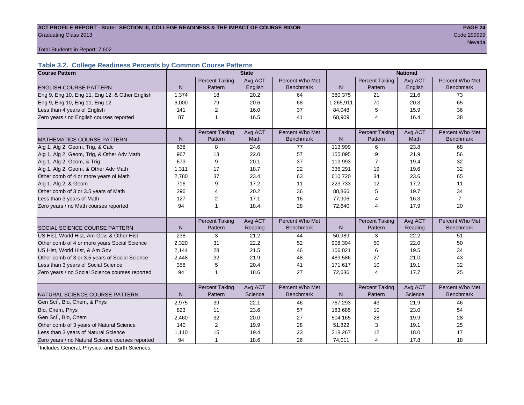#### ACT PROFILE REPORT - State: SECTION III, COLLEGE READINESS & THE IMPACT OF COURSE RIGOR **PAGE 24 Graduating Class 2013** Code 299999 Code 200999 Code 200999 Code 200999 Code 200999 Code 200999 Code 200999 Code 200999 Code 200999 Code 200999 Code 200999 Code 200999 Code 200999 Code 2009 Code 20099 Code 2009 Code 2009 C

nevada a ser en 1992 en 1993 en 1993 en 1994 en 1994 en 1994 en 1994 en 1994 en 1995 en 1999 en 1999 en 1999 e

Total Students in Report: 7,602

# **Table 3.2. College Readiness Percents by Common Course Patterns**

| <b>Course Pattern</b>                            |       |                         | <b>State</b> |                  | <b>National</b> |                       |         |                  |  |
|--------------------------------------------------|-------|-------------------------|--------------|------------------|-----------------|-----------------------|---------|------------------|--|
|                                                  |       | <b>Percent Taking</b>   | Avg ACT      | Percent Who Met  |                 | <b>Percent Taking</b> | Avg ACT | Percent Who Met  |  |
| <b>ENGLISH COURSE PATTERN</b>                    | N     | Pattern                 | English      | <b>Benchmark</b> | $\mathsf{N}$    | Pattern               | English | <b>Benchmark</b> |  |
| Eng 9, Eng 10, Eng 11, Eng 12, & Other English   | 1,374 | 18                      | 20.2         | 64               | 380,375         | 21                    | 21.6    | 73               |  |
| Eng 9, Eng 10, Eng 11, Eng 12                    | 6,000 | 79                      | 20.6         | 68               | 1,265,911       | 70                    | 20.3    | 65               |  |
| Less than 4 years of English                     | 141   | 2                       | 16.0         | 37               | 84,048          | 5                     | 15.9    | 36               |  |
| Zero years / no English courses reported         | 87    | 1                       | 16.5         | 41               | 68,909          | $\overline{4}$        | 16.4    | 38               |  |
|                                                  |       |                         |              |                  |                 |                       |         |                  |  |
|                                                  |       | <b>Percent Taking</b>   | Avg ACT      | Percent Who Met  |                 | <b>Percent Taking</b> | Avg ACT | Percent Who Met  |  |
| <b>MATHEMATICS COURSE PATTERN</b>                | N     | Pattern                 | Math         | <b>Benchmark</b> | N               | Pattern               | Math    | <b>Benchmark</b> |  |
| Alg 1, Alg 2, Geom, Trig, & Calc                 | 638   | 8                       | 24.6         | 77               | 113,999         | 6                     | 23.8    | 68               |  |
| Alg 1, Alg 2, Geom, Trig, & Other Adv Math       | 967   | 13                      | 22.0         | 57               | 155,095         | 9                     | 21.9    | 56               |  |
| Alg 1, Alg 2, Geom, & Trig                       | 673   | 9                       | 20.1         | 37               | 119,993         | 7                     | 19.4    | 32               |  |
| Alg 1, Alg 2, Geom, & Other Adv Math             | 1,311 | 17                      | 18.7         | 22               | 336,291         | 19                    | 19.6    | 32               |  |
| Other comb of 4 or more years of Math            | 2,780 | 37                      | 23.4         | 63               | 610,720         | 34                    | 23.6    | 65               |  |
| Alg 1, Alg 2, & Geom                             | 716   | 9                       | 17.2         | 11               | 223,733         | 12                    | 17.2    | 11               |  |
| Other comb of 3 or 3.5 years of Math             | 296   | $\overline{4}$          | 20.2         | 36               | 88,866          | 5                     | 19.7    | 34               |  |
| Less than 3 years of Math                        | 127   | 2                       | 17.1         | 16               | 77,906          | 4                     | 16.3    | $\overline{7}$   |  |
| Zero years / no Math courses reported            | 94    | $\mathbf{1}$            | 18.4         | 28               | 72,640          | 4                     | 17.9    | 20               |  |
|                                                  |       |                         |              |                  |                 |                       |         |                  |  |
|                                                  |       | <b>Percent Taking</b>   | Avg ACT      | Percent Who Met  |                 | Percent Taking        | Avg ACT | Percent Who Met  |  |
| <b>SOCIAL SCIENCE COURSE PATTERN</b>             | N     | Pattern                 | Reading      | <b>Benchmark</b> | N               | Pattern               | Reading | <b>Benchmark</b> |  |
| US Hist, World Hist, Am Gov, & Other Hist        | 238   | 3                       | 21.2         | 44               | 50,989          | 3                     | 22.2    | 51               |  |
| Other comb of 4 or more years Social Science     | 2,320 | 31                      | 22.2         | 52               | 908,394         | 50                    | 22.0    | 50               |  |
| US Hist, World Hist, & Am Gov                    | 2,144 | 28                      | 21.5         | 46               | 106,021         | 6                     | 19.5    | 34               |  |
| Other comb of 3 or 3.5 years of Social Science   | 2,448 | 32                      | 21.9         | 48               | 489,586         | 27                    | 21.0    | 43               |  |
| Less than 3 years of Social Science              | 358   | 5                       | 20.4         | 41               | 171,617         | 10                    | 19.1    | 32               |  |
| Zero years / no Social Science courses reported  | 94    | $\overline{1}$          | 18.6         | 27               | 72,636          | $\overline{4}$        | 17.7    | 25               |  |
|                                                  |       |                         |              |                  |                 |                       |         |                  |  |
|                                                  |       | <b>Percent Taking</b>   | Avg ACT      | Percent Who Met  |                 | <b>Percent Taking</b> | Avg ACT | Percent Who Met  |  |
| NATURAL SCIENCE COURSE PATTERN                   | N     | Pattern                 | Science      | <b>Benchmark</b> | N               | Pattern               | Science | <b>Benchmark</b> |  |
| Gen Sci <sup>1</sup> , Bio, Chem, & Phys         | 2,975 | 39                      | 22.1         | 46               | 767,293         | 43                    | 21.9    | 46               |  |
| Bio, Chem, Phys                                  | 823   | 11                      | 23.6         | 57               | 183,685         | 10                    | 23.0    | 54               |  |
| Gen Sci <sup>1</sup> , Bio, Chem                 | 2,460 | 32                      | 20.0         | 27               | 504,165         | 28                    | 19.9    | 28               |  |
| Other comb of 3 years of Natural Science         | 140   | $\overline{\mathbf{c}}$ | 19.9         | 28               | 51,822          | 3                     | 19.1    | 25               |  |
| Less than 3 years of Natural Science             | 1,110 | 15                      | 19.4         | 23               | 218,267         | 12                    | 18.0    | 17               |  |
| Zero years / no Natural Science courses reported | 94    | $\mathbf{1}$            | 18.6         | 26               | 74,011          | $\overline{4}$        | 17.8    | 18               |  |

<sup>1</sup>Includes General, Physical and Earth Sciences.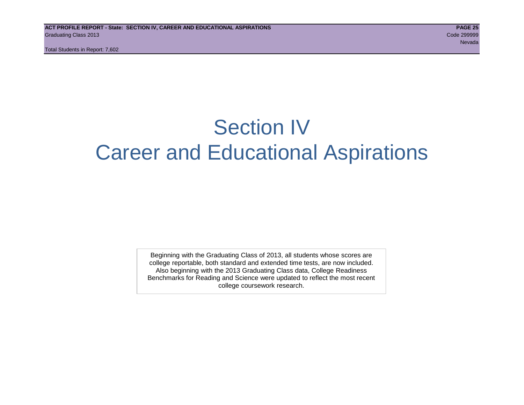# Section IV Career and Educational Aspirations

Beginning with the Graduating Class of 2013, all students whose scores are college reportable, both standard and extended time tests, are now included. Also beginning with the 2013 Graduating Class data, College Readiness Benchmarks for Reading and Science were updated to reflect the most recent college coursework research.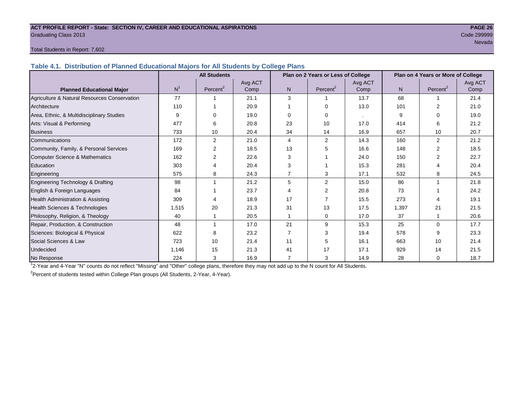#### **ACT PROFILE REPORT - State: SECTION IV, CAREER AND EDUCATIONAL ASPIRATIONS PAGE 26** Graduating Class 2013 Code 299999

# nevada a ser en 1992 en 1993 en 1993 en 1994 en 1994 en 1994 en 1994 en 1994 en 1995 en 1999 en 1999 en 1999 e

#### Total Students in Report: 7,602

**Table 4.1. Distribution of Planned Educational Majors for All Students by College Plans**

|                                              | <b>All Students</b><br>Plan on 2 Years or Less of College |                |         |                |                      |         | Plan on 4 Years or More of College |                      |         |  |  |
|----------------------------------------------|-----------------------------------------------------------|----------------|---------|----------------|----------------------|---------|------------------------------------|----------------------|---------|--|--|
|                                              |                                                           |                | Avg ACT |                |                      | Avg ACT |                                    |                      | Avg ACT |  |  |
| <b>Planned Educational Major</b>             | N <sup>1</sup>                                            | Percent $2$    | Comp    | N <sub>1</sub> | Percent <sup>2</sup> | Comp    | N <sub>1</sub>                     | Percent <sup>2</sup> | Comp    |  |  |
| Agriculture & Natural Resources Conservation | 77                                                        |                | 21.1    | 3              |                      | 13.7    | 68                                 |                      | 21.4    |  |  |
| Architecture                                 | 110                                                       |                | 20.9    |                | $\Omega$             | 13.0    | 101                                | $\overline{2}$       | 21.0    |  |  |
| Area, Ethnic, & Multidisciplinary Studies    | 9                                                         | $\Omega$       | 19.0    | $\Omega$       | $\Omega$             | $\sim$  | 9                                  | ∩                    | 19.0    |  |  |
| Arts: Visual & Performing                    | 477                                                       | 6              | 20.8    | 23             | 10                   | 17.0    | 414                                | 6                    | 21.2    |  |  |
| <b>Business</b>                              | 733                                                       | 10             | 20.4    | 34             | 14                   | 16.9    | 657                                | 10                   | 20.7    |  |  |
| Communications                               | 172                                                       | 2              | 21.0    | 4              | 2                    | 14.3    | 160                                | 2                    | 21.2    |  |  |
| Community, Family, & Personal Services       | 169                                                       | 2              | 18.5    | 13             | 5                    | 16.6    | 148                                | 2                    | 18.5    |  |  |
| Computer Science & Mathematics               | 162                                                       | $\overline{2}$ | 22.6    | 3              |                      | 24.0    | 150                                |                      | 22.7    |  |  |
| Education                                    | 303                                                       | 4              | 20.4    | 3              |                      | 15.3    | 281                                | 4                    | 20.4    |  |  |
| Engineering                                  | 575                                                       | 8              | 24.3    |                | 3                    | 17.1    | 532                                | 8                    | 24.5    |  |  |
| Engineering Technology & Drafting            | 98                                                        |                | 21.2    | 5              | 2                    | 15.0    | 86                                 |                      | 21.8    |  |  |
| English & Foreign Languages                  | 84                                                        |                | 23.7    | Δ              | 2                    | 20.8    | 73                                 |                      | 24.2    |  |  |
| <b>Health Administration &amp; Assisting</b> | 309                                                       | 4              | 18.9    | 17             | $\overline{7}$       | 15.5    | 273                                | 4                    | 19.1    |  |  |
| Health Sciences & Technologies               | 1,515                                                     | 20             | 21.3    | 31             | 13                   | 17.5    | 1,397                              | 21                   | 21.5    |  |  |
| Philosophy, Religion, & Theology             | 40                                                        |                | 20.5    |                | $\Omega$             | 17.0    | 37                                 |                      | 20.6    |  |  |
| Repair, Production, & Construction           | 48                                                        |                | 17.0    | 21             | 9                    | 15.3    | 25                                 | $\Omega$             | 17.7    |  |  |
| Sciences: Biological & Physical              | 622                                                       | 8              | 23.2    | $\overline{7}$ | 3                    | 19.4    | 578                                | 9                    | 23.3    |  |  |
| Social Sciences & Law                        | 723                                                       | 10             | 21.4    | 11             | 5                    | 16.1    | 663                                | 10                   | 21.4    |  |  |
| <b>Undecided</b>                             | 1,146                                                     | 15             | 21.3    | 41             | 17                   | 17.1    | 929                                | 14                   | 21.5    |  |  |
| No Response                                  | 224                                                       | 3              | 16.9    | 7              | 3                    | 14.9    | 28                                 | 0                    | 18.7    |  |  |

1 2-Year and 4-Year "N" counts do not reflect "Missing" and "Other" college plans, therefore they may not add up to the N count for All Students.

<sup>2</sup> Percent of students tested within College Plan groups (All Students, 2-Year, 4-Year).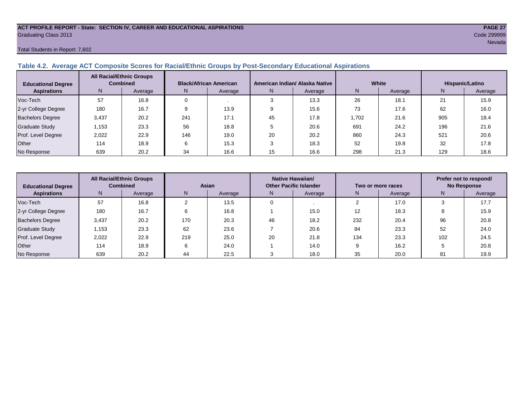#### **ACT PROFILE REPORT - State: SECTION IV, CAREER AND EDUCATIONAL ASPIRATIONS PAGE 27** Graduating Class 2013 Code 299999

#### Total Students in Report: 7,602

# **Table 4.2. Average ACT Composite Scores for Racial/Ethnic Groups by Post-Secondary Educational Aspirations**

| <b>Educational Degree</b> | <b>All Racial/Ethnic Groups</b><br><b>Combined</b> |         | <b>Black/African American</b> |         |    | American Indian/ Alaska Native |       | White   | Hispanic/Latino |         |  |
|---------------------------|----------------------------------------------------|---------|-------------------------------|---------|----|--------------------------------|-------|---------|-----------------|---------|--|
| <b>Aspirations</b>        | N.                                                 | Average | N.                            | Average | N. | Average                        | Ν     | Average | N               | Average |  |
| Voc-Tech                  | 57                                                 | 16.8    |                               |         |    | 13.3                           | 26    | 18.1    | 21              | 15.9    |  |
| 2-yr College Degree       | 180                                                | 16.7    |                               | 13.9    |    | 15.6                           | 73    | 17.6    | 62              | 16.0    |  |
| <b>Bachelors Degree</b>   | 3,437                                              | 20.2    | 241                           | 17.1    | 45 | 17.8                           | 1,702 | 21.6    | 905             | 18.4    |  |
| <b>Graduate Study</b>     | 1.153                                              | 23.3    | 56                            | 18.8    |    | 20.6                           | 691   | 24.2    | 196             | 21.6    |  |
| Prof. Level Degree        | 2,022                                              | 22.9    | 146                           | 19.0    | 20 | 20.2                           | 860   | 24.3    | 521             | 20.6    |  |
| <b>Other</b>              | 114                                                | 18.9    |                               | 15.3    |    | 18.3                           | 52    | 19.8    | 32              | 17.8    |  |
| No Response               | 639                                                | 20.2    | 34                            | 16.6    | 15 | 16.6                           | 298   | 21.3    | 129             | 18.6    |  |

| <b>All Racial/Ethnic Groups</b><br><b>Combined</b><br><b>Educational Degree</b> |       | Asian   |     |         | <b>Native Hawaiian/</b><br><b>Other Pacific Islander</b> |         | Two or more races | Prefer not to respond/<br><b>No Response</b> |     |         |
|---------------------------------------------------------------------------------|-------|---------|-----|---------|----------------------------------------------------------|---------|-------------------|----------------------------------------------|-----|---------|
| <b>Aspirations</b>                                                              | N.    | Average | N   | Average | N.                                                       | Average | N.                | Average                                      | N.  | Average |
| Voc-Tech                                                                        | 57    | 16.8    |     | 13.5    |                                                          |         |                   | 17.0                                         |     | 17.7    |
| 2-yr College Degree                                                             | 180   | 16.7    | 6   | 16.8    |                                                          | 15.0    | 12                | 18.3                                         |     | 15.9    |
| <b>Bachelors Degree</b>                                                         | 3,437 | 20.2    | 170 | 20.3    | 46                                                       | 18.2    | 232               | 20.4                                         | 96  | 20.8    |
| Graduate Study                                                                  | 1,153 | 23.3    | 62  | 23.6    |                                                          | 20.6    | 84                | 23.3                                         | 52  | 24.0    |
| Prof. Level Degree                                                              | 2,022 | 22.9    | 219 | 25.0    | 20                                                       | 21.8    | 134               | 23.3                                         | 102 | 24.5    |
| Other                                                                           | 114   | 18.9    | 6   | 24.0    |                                                          | 14.0    | Q                 | 16.2                                         |     | 20.8    |
| No Response                                                                     | 639   | 20.2    | 44  | 22.5    |                                                          | 18.0    | 35                | 20.0                                         | 81  | 19.9    |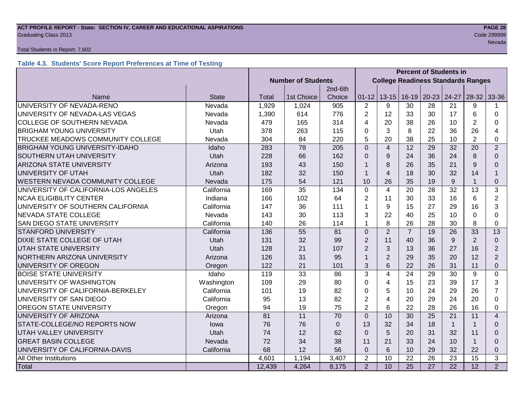#### **ACT PROFILE REPORT - State: SECTION IV, CAREER AND EDUCATIONAL ASPIRATIONS PAGE 28** Code 299999 Craduating Class 2013

#### Total Students in Report: 7,602

# **Table 4.3. Students' Score Report Preferences at Time of Testing**

|                                       |              | <b>Percent of Students in</b> |                           |          |                                           |                |                 |                 |                 |                |                         |
|---------------------------------------|--------------|-------------------------------|---------------------------|----------|-------------------------------------------|----------------|-----------------|-----------------|-----------------|----------------|-------------------------|
|                                       |              |                               | <b>Number of Students</b> |          | <b>College Readiness Standards Ranges</b> |                |                 |                 |                 |                |                         |
|                                       |              |                               |                           | 2nd-6th  |                                           |                |                 |                 |                 |                |                         |
| Name                                  | <b>State</b> | Total                         | 1st Choice                | Choice   | $01 - 12$                                 | $13 - 15$      | $16-19$         | $20 - 23$       | $24-27$         | $28-32$ 33-36  |                         |
| UNIVERSITY OF NEVADA-RENO             | Nevada       | 1,929                         | 1,024                     | 905      | 2                                         | 9              | 30              | 28              | 21              | 9              |                         |
| UNIVERSITY OF NEVADA-LAS VEGAS        | Nevada       | 1,390                         | 614                       | 776      | $\overline{2}$                            | 12             | 33              | 30              | 17              | 6              | $\Omega$                |
| COLLEGE OF SOUTHERN NEVADA            | Nevada       | 479                           | 165                       | 314      | 4                                         | 20             | 38              | 26              | 10              | $\overline{2}$ | 0                       |
| <b>BRIGHAM YOUNG UNIVERSITY</b>       | Utah         | 378                           | 263                       | 115      | 0                                         | 3              | 8               | 22              | 36              | 26             | 4                       |
| TRUCKEE MEADOWS COMMUNITY COLLEGE     | Nevada       | 304                           | 84                        | 220      | 5                                         | 20             | 38              | 25              | 10              | $\overline{2}$ | 0                       |
| <b>BRIGHAM YOUNG UNIVERSITY-IDAHO</b> | Idaho        | 283                           | 78                        | 205      | $\Omega$                                  | $\overline{4}$ | 12              | 29              | 32              | 20             | $\overline{2}$          |
| <b>SOUTHERN UTAH UNIVERSITY</b>       | Utah         | 228                           | 66                        | 162      | $\Omega$                                  | 9              | 24              | 36              | 24              | 8              | $\Omega$                |
| <b>ARIZONA STATE UNIVERSITY</b>       | Arizona      | 193                           | 43                        | 150      | 1                                         | 8              | 26              | 35              | 21              | 9              | $\Omega$                |
| UNIVERSITY OF UTAH                    | Utah         | 182                           | 32                        | 150      | 1                                         | $\overline{4}$ | 18              | 30              | 32              | 14             | 1                       |
| WESTERN NEVADA COMMUNITY COLLEGE      | Nevada       | 175                           | 54                        | 121      | 10                                        | 26             | 35              | 19              | 9               |                | 0                       |
| UNIVERSITY OF CALIFORNIA-LOS ANGELES  | California   | 169                           | 35                        | 134      | $\mathbf 0$                               | $\overline{4}$ | 20              | 28              | 32              | 13             | 3                       |
| <b>NCAA ELIGIBILITY CENTER</b>        | Indiana      | 166                           | 102                       | 64       | $\overline{2}$                            | 11             | 30              | 33              | 16              | 6              | $\overline{2}$          |
| UNIVERSITY OF SOUTHERN CALIFORNIA     | California   | 147                           | 36                        | 111      | 1                                         | 9              | 15              | 27              | 29              | 16             | 3                       |
| <b>NEVADA STATE COLLEGE</b>           | Nevada       | 143                           | 30                        | 113      | 3                                         | 22             | 40              | 25              | 10              | $\Omega$       | $\Omega$                |
| <b>SAN DIEGO STATE UNIVERSITY</b>     | California   | 140                           | 26                        | 114      | 1                                         | 8              | 26              | 28              | 30              | 8              | $\Omega$                |
| <b>STANFORD UNIVERSITY</b>            | California   | 136                           | 55                        | 81       | $\overline{0}$                            | $\overline{2}$ | $\overline{7}$  | 19              | 26              | 33             | 13                      |
| <b>DIXIE STATE COLLEGE OF UTAH</b>    | Utah         | 131                           | 32                        | 99       | $\overline{2}$                            | 11             | 40              | 36              | 9               | $\overline{2}$ | $\Omega$                |
| <b>UTAH STATE UNIVERSITY</b>          | Utah         | 128                           | 21                        | 107      | $\overline{2}$                            | 3              | 13              | 36              | 27              | 16             | $\overline{2}$          |
| NORTHERN ARIZONA UNIVERSITY           | Arizona      | 126                           | 31                        | 95       | 1                                         | $\overline{2}$ | 29              | 35              | 20              | 12             | $\overline{2}$          |
| UNIVERSITY OF OREGON                  | Oregon       | 122                           | 21                        | 101      | 3                                         | 6              | 22              | 26              | 31              | 11             | $\Omega$                |
| <b>BOISE STATE UNIVERSITY</b>         | Idaho        | 119                           | 33                        | 86       | 3                                         | $\overline{4}$ | 24              | 29              | 30              | 9              | 0                       |
| UNIVERSITY OF WASHINGTON              | Washington   | 109                           | 29                        | 80       | 0                                         | $\overline{4}$ | 15              | 23              | 39              | 17             | 3                       |
| UNIVERSITY OF CALIFORNIA-BERKELEY     | California   | 101                           | 19                        | 82       | 0                                         | 5              | 10              | 24              | 29              | 26             | $\overline{7}$          |
| UNIVERSITY OF SAN DIEGO               | California   | 95                            | 13                        | 82       | $\overline{2}$                            | $\overline{4}$ | 20              | 29              | 24              | 20             | $\Omega$                |
| OREGON STATE UNIVERSITY               | Oregon       | 94                            | 19                        | 75       | $\overline{2}$                            | 6              | 22              | 28              | 26              | 16             | 0                       |
| UNIVERSITY OF ARIZONA                 | Arizona      | 81                            | 11                        | 70       | $\Omega$                                  | 10             | 30              | 25              | 21              | 11             | $\overline{\mathbf{A}}$ |
| STATE-COLLEGE/NO REPORTS NOW          | lowa         | 76                            | 76                        | $\Omega$ | 13                                        | 32             | 34              | 18              | $\mathbf{1}$    |                | $\Omega$                |
| <b>UTAH VALLEY UNIVERSITY</b>         | Utah         | 74                            | 12                        | 62       | $\Omega$                                  | 5              | 20              | 31              | 32              | 11             | $\Omega$                |
| <b>GREAT BASIN COLLEGE</b>            | Nevada       | 72                            | 34                        | 38       | 11                                        | 21             | 33              | 24              | 10              |                | $\Omega$                |
| UNIVERSITY OF CALIFORNIA-DAVIS        | California   | 68                            | 12                        | 56       | $\mathbf 0$                               | 6              | 10              | 29              | 32              | 22             | $\mathbf{0}$            |
| All Other Institutions                |              | 4,601                         | 1,194                     | 3,407    | $\overline{2}$                            | 10             | 22              | 26              | 23              | 15             | 3                       |
| Total                                 |              | 12,439                        | 4,264                     | 8,175    | $\overline{2}$                            | 10             | $\overline{25}$ | $\overline{27}$ | $\overline{22}$ | 12             | $\overline{2}$          |

nevada e a segundo de la construcción de la construcción de la construcción de la construcción de la construcc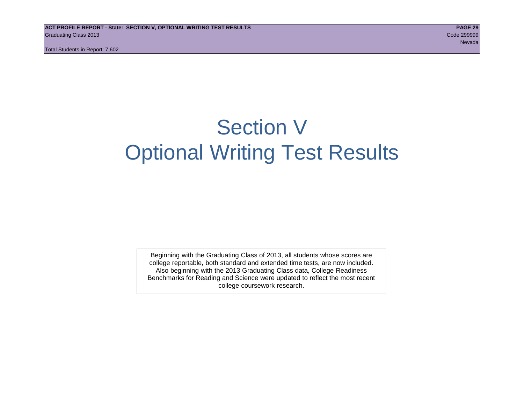# Section V Optional Writing Test Results

Beginning with the Graduating Class of 2013, all students whose scores are college reportable, both standard and extended time tests, are now included. Also beginning with the 2013 Graduating Class data, College Readiness Benchmarks for Reading and Science were updated to reflect the most recent college coursework research.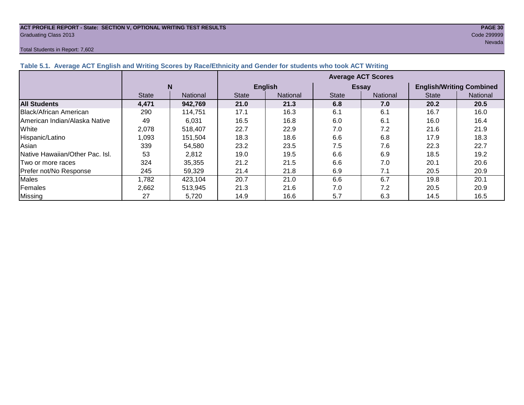#### **ACT PROFILE REPORT - State: SECTION V, OPTIONAL WRITING TEST RESULTS PAGE 30** Graduating Class 2013 Code 299999

#### Total Students in Report: 7,602

nevada a ser en el seu de la construcción de la construcción de la construcción de la construcción de la const

|                                 |              |                 | <b>Average ACT Scores</b> |                 |              |                 |                                 |                 |  |  |  |
|---------------------------------|--------------|-----------------|---------------------------|-----------------|--------------|-----------------|---------------------------------|-----------------|--|--|--|
|                                 | N            |                 |                           | <b>English</b>  | <b>Essay</b> |                 | <b>English/Writing Combined</b> |                 |  |  |  |
|                                 | <b>State</b> | <b>National</b> | <b>State</b>              | <b>National</b> | <b>State</b> | <b>National</b> | <b>State</b>                    | <b>National</b> |  |  |  |
| <b>All Students</b>             | 4,471        | 942,769         | 21.0                      | 21.3            | 6.8          | 7.0             | 20.2                            | 20.5            |  |  |  |
| <b>Black/African American</b>   | 290          | 114,751         | 17.1                      | 16.3            | 6.1          | 6.1             | 16.7                            | 16.0            |  |  |  |
| American Indian/Alaska Native   | 49           | 6,031           | 16.5                      | 16.8            | 6.0          | 6.1             | 16.0                            | 16.4            |  |  |  |
| White                           | 2,078        | 518,407         | 22.7                      | 22.9            | 7.0          | 7.2             | 21.6                            | 21.9            |  |  |  |
| Hispanic/Latino                 | 1,093        | 151,504         | 18.3                      | 18.6            | 6.6          | 6.8             | 17.9                            | 18.3            |  |  |  |
| Asian                           | 339          | 54,580          | 23.2                      | 23.5            | 7.5          | 7.6             | 22.3                            | 22.7            |  |  |  |
| Native Hawaiian/Other Pac. Isl. | 53           | 2,812           | 19.0                      | 19.5            | 6.6          | 6.9             | 18.5                            | 19.2            |  |  |  |
| Two or more races               | 324          | 35,355          | 21.2                      | 21.5            | 6.6          | 7.0             | 20.1                            | 20.6            |  |  |  |
| Prefer not/No Response          | 245          | 59,329          | 21.4                      | 21.8            | 6.9          | 7.1             | 20.5                            | 20.9            |  |  |  |
| <b>Males</b>                    | ,782         | 423,104         | 20.7                      | 21.0            | 6.6          | 6.7             | 19.8                            | 20.1            |  |  |  |
| Females                         | 2,662        | 513,945         | 21.3                      | 21.6            | 7.0          | 7.2             | 20.5                            | 20.9            |  |  |  |
| Missing                         | 27           | 5,720           | 14.9                      | 16.6            | 5.7          | 6.3             | 14.5                            | 16.5            |  |  |  |

**Table 5.1. Average ACT English and Writing Scores by Race/Ethnicity and Gender for students who took ACT Writing**